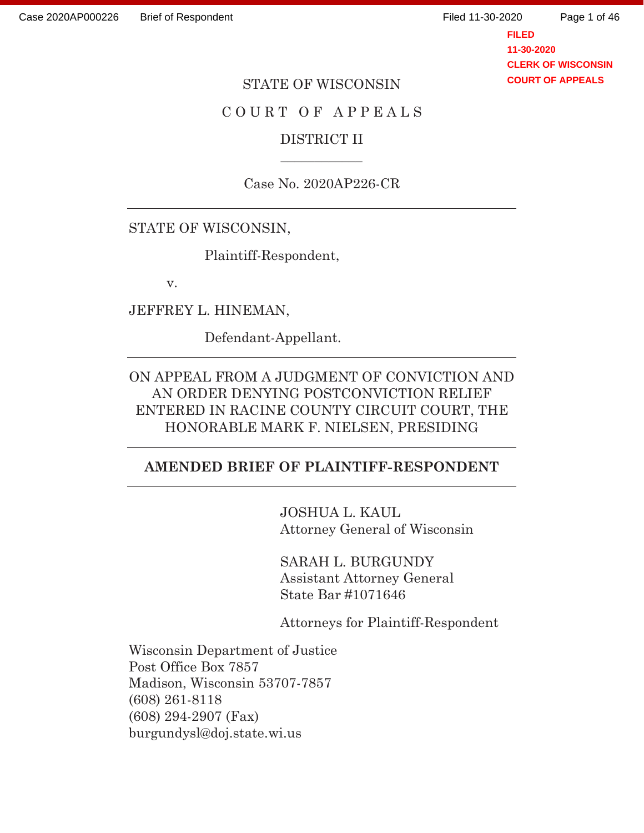Page 1 of 46

**FILED 11-30-2020 CLERK OF WISCONSIN COURT OF APPEALS**

#### STATE OF WISCONSIN

# COURT OF APPEALS

## DISTRICT II  $\overline{\phantom{a}}$

Case No. 2020AP226-CR

### STATE OF WISCONSIN,

Plaintiff-Respondent,

v.

JEFFREY L. HINEMAN,

Defendant-Appellant.

ON APPEAL FROM A JUDGMENT OF CONVICTION AND AN ORDER DENYING POSTCONVICTION RELIEF ENTERED IN RACINE COUNTY CIRCUIT COURT, THE HONORABLE MARK F. NIELSEN, PRESIDING

#### **AMENDED BRIEF OF PLAINTIFF-RESPONDENT**

 JOSHUA L. KAUL Attorney General of Wisconsin

 SARAH L. BURGUNDY Assistant Attorney General State Bar #1071646

Attorneys for Plaintiff-Respondent

Wisconsin Department of Justice Post Office Box 7857 Madison, Wisconsin 53707-7857 (608) 261-8118 (608) 294-2907 (Fax) burgundysl@doj.state.wi.us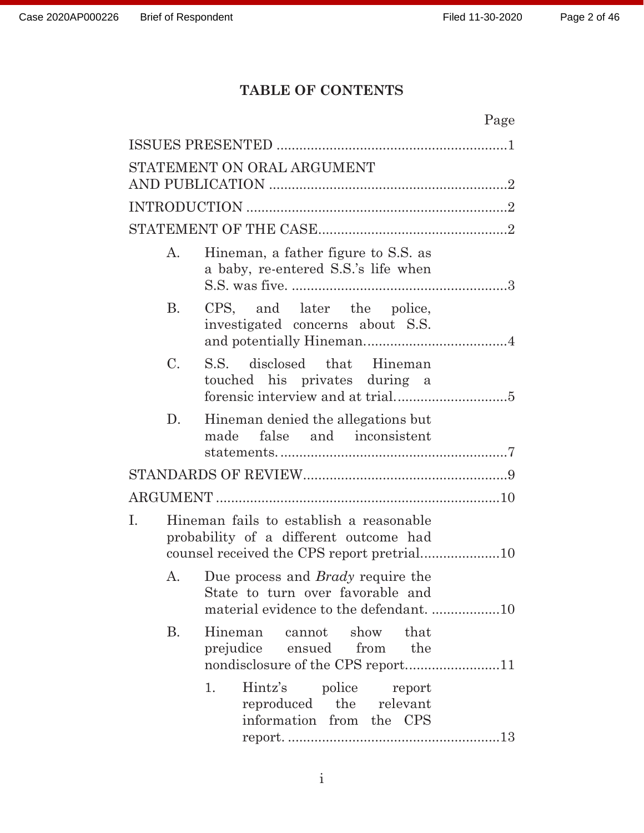# **TABLE OF CONTENTS**

|                            | Page                                                                               |  |  |  |  |  |
|----------------------------|------------------------------------------------------------------------------------|--|--|--|--|--|
|                            |                                                                                    |  |  |  |  |  |
| STATEMENT ON ORAL ARGUMENT |                                                                                    |  |  |  |  |  |
|                            |                                                                                    |  |  |  |  |  |
|                            |                                                                                    |  |  |  |  |  |
|                            |                                                                                    |  |  |  |  |  |
| $A_{\cdot}$                | Hineman, a father figure to S.S. as<br>a baby, re-entered S.S.'s life when         |  |  |  |  |  |
| <b>B.</b>                  | CPS, and later the police,<br>investigated concerns about S.S.                     |  |  |  |  |  |
| $\mathcal{C}$ .            | S.S. disclosed that Hineman<br>touched his privates during a                       |  |  |  |  |  |
| D.                         | Hineman denied the allegations but<br>false and inconsistent<br>made               |  |  |  |  |  |
|                            |                                                                                    |  |  |  |  |  |
|                            |                                                                                    |  |  |  |  |  |
| I.                         | Hineman fails to establish a reasonable<br>probability of a different outcome had  |  |  |  |  |  |
| Α.                         | Due process and <i>Brady</i> require the<br>State to turn over favorable and       |  |  |  |  |  |
| <b>B.</b>                  | Hineman cannot show that<br>prejudice ensued from the                              |  |  |  |  |  |
|                            | Hintz's police report<br>1.<br>reproduced the relevant<br>information from the CPS |  |  |  |  |  |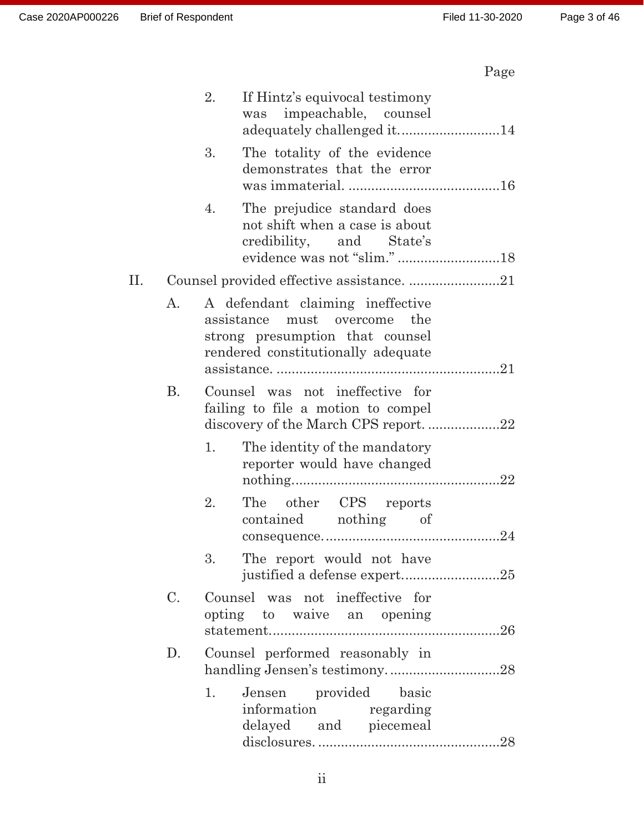# Page

|     |                 | If Hintz's equivocal testimony<br>2.<br>was impeachable, counsel                                                                             |  |  |  |  |
|-----|-----------------|----------------------------------------------------------------------------------------------------------------------------------------------|--|--|--|--|
|     |                 | 3.<br>The totality of the evidence<br>demonstrates that the error                                                                            |  |  |  |  |
|     |                 | The prejudice standard does<br>4.<br>not shift when a case is about<br>credibility, and State's<br>evidence was not "slim." 18               |  |  |  |  |
| II. |                 | Counsel provided effective assistance. 21                                                                                                    |  |  |  |  |
|     | А.              | A defendant claiming ineffective<br>assistance must overcome<br>the<br>strong presumption that counsel<br>rendered constitutionally adequate |  |  |  |  |
|     | <b>B.</b>       | Counsel was not ineffective for<br>failing to file a motion to compel                                                                        |  |  |  |  |
|     |                 | 1.<br>The identity of the mandatory<br>reporter would have changed                                                                           |  |  |  |  |
|     |                 | The other CPS reports<br>2.<br>contained nothing of                                                                                          |  |  |  |  |
|     |                 | The report would not have<br>3.<br>justified a defense expert25                                                                              |  |  |  |  |
|     | $\mathcal{C}$ . | Counsel was not ineffective for<br>opting to waive an opening                                                                                |  |  |  |  |
|     | $D_{\cdot}$     | Counsel performed reasonably in                                                                                                              |  |  |  |  |
|     |                 | Jensen provided basic<br>1.<br>information regarding<br>delayed and piecemeal                                                                |  |  |  |  |
|     |                 |                                                                                                                                              |  |  |  |  |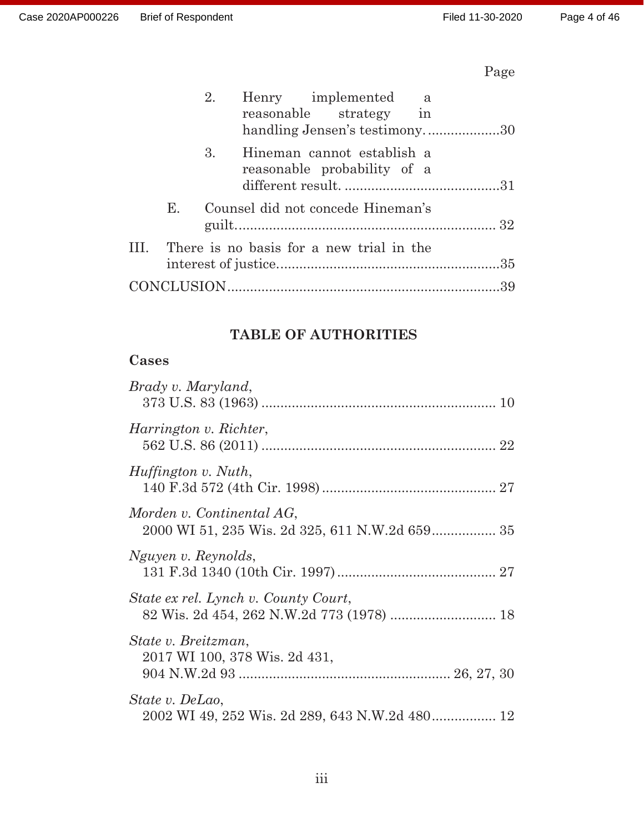# Page

|             | 2. | Henry implemented a                                          |  |
|-------------|----|--------------------------------------------------------------|--|
|             |    | reasonable strategy in<br>handling Jensen's testimony30      |  |
|             |    | 3. Hineman cannot establish a<br>reasonable probability of a |  |
| $E_{\rm L}$ |    | Counsel did not concede Hineman's                            |  |
|             |    | III. There is no basis for a new trial in the                |  |
|             |    |                                                              |  |

# **TABLE OF AUTHORITIES**

# **Cases**

| Brady v. Maryland,                                                                |
|-----------------------------------------------------------------------------------|
| <i>Harrington v. Richter,</i>                                                     |
| <i>Huffington v. Nuth,</i>                                                        |
| Morden v. Continental AG,                                                         |
| Nguyen v. Reynolds,                                                               |
| State ex rel. Lynch v. County Court,<br>82 Wis. 2d 454, 262 N.W.2d 773 (1978)  18 |
| State v. Breitzman,<br>2017 WI 100, 378 Wis. 2d 431,                              |
| State v. DeLao,<br>2002 WI 49, 252 Wis. 2d 289, 643 N.W.2d 480 12                 |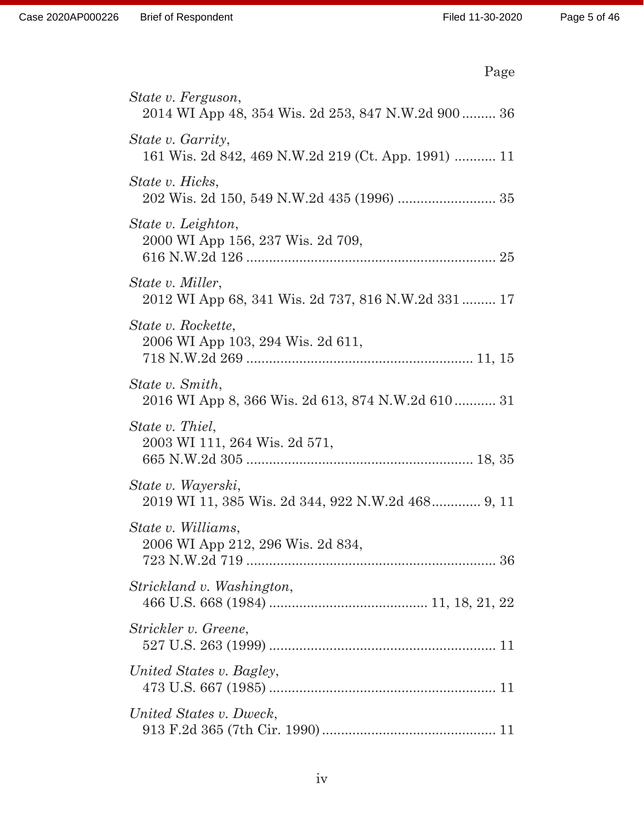| Page                                                                     |
|--------------------------------------------------------------------------|
| State v. Ferguson,<br>2014 WI App 48, 354 Wis. 2d 253, 847 N.W.2d 900 36 |
| State v. Garrity,<br>161 Wis. 2d 842, 469 N.W.2d 219 (Ct. App. 1991)  11 |
| State v. Hicks,<br>202 Wis. 2d 150, 549 N.W.2d 435 (1996)  35            |
| State v. Leighton,<br>2000 WI App 156, 237 Wis. 2d 709,                  |
| State v. Miller,<br>2012 WI App 68, 341 Wis. 2d 737, 816 N.W. 2d 331 17  |
| State v. Rockette,<br>2006 WI App 103, 294 Wis. 2d 611,                  |
| State v. Smith,<br>2016 WI App 8, 366 Wis. 2d 613, 874 N.W.2d 610 31     |
| State v. Thiel,<br>2003 WI 111, 264 Wis. 2d 571,                         |
| State v. Wayerski,<br>2019 WI 11, 385 Wis. 2d 344, 922 N.W.2d 468 9, 11  |
| State v. Williams,<br>2006 WI App 212, 296 Wis. 2d 834,                  |
| Strickland v. Washington,                                                |
| Strickler v. Greene,                                                     |
| United States v. Bagley,                                                 |
| United States v. Dweck,                                                  |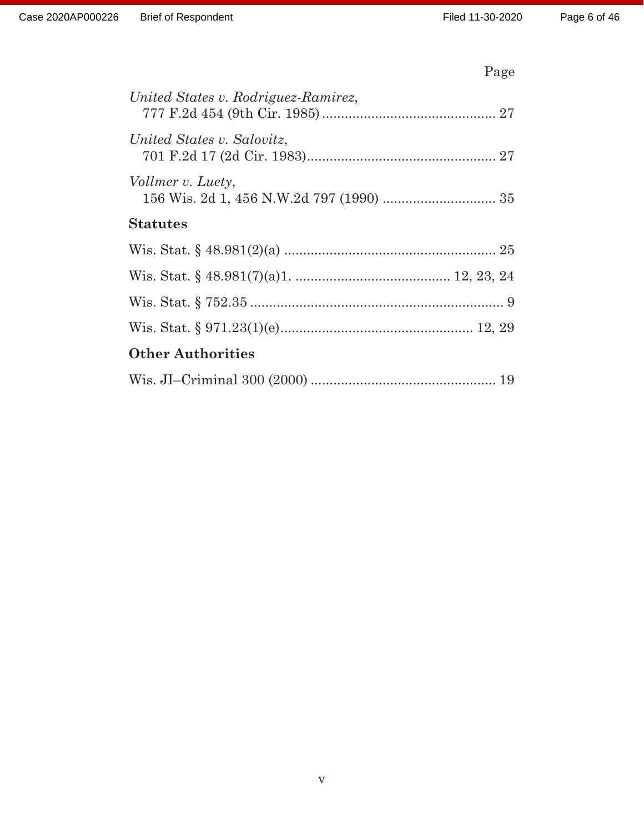# Page

| United States v. Rodriguez-Ramirez, |
|-------------------------------------|
| United States v. Salovitz,          |
| Vollmer v. Luety,                   |
| <b>Statutes</b>                     |
|                                     |
|                                     |
|                                     |
|                                     |
| <b>Other Authorities</b>            |
|                                     |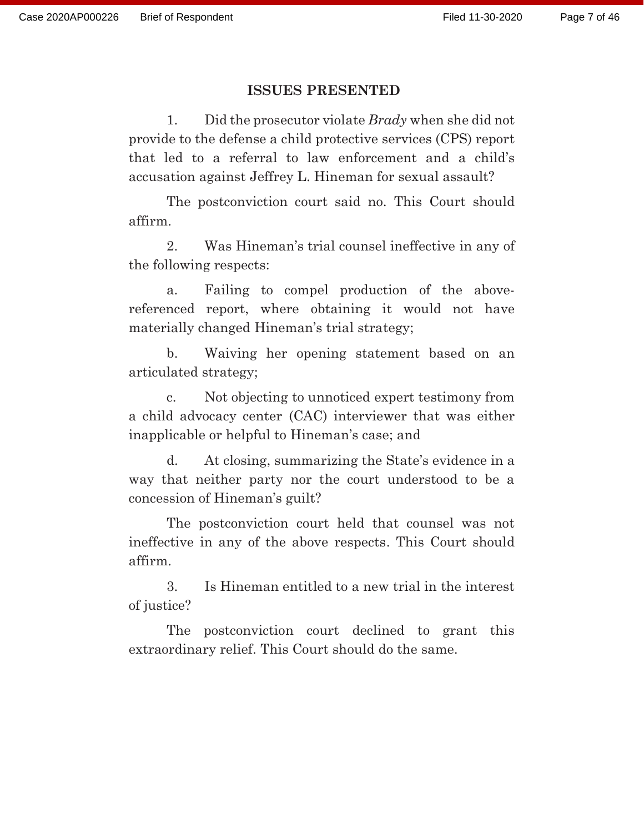#### **ISSUES PRESENTED**

1. Did the prosecutor violate *Brady* when she did not provide to the defense a child protective services (CPS) report that led to a referral to law enforcement and a child's accusation against Jeffrey L. Hineman for sexual assault?

The postconviction court said no. This Court should affirm.

 2. Was Hineman's trial counsel ineffective in any of the following respects:

a. Failing to compel production of the abovereferenced report, where obtaining it would not have materially changed Hineman's trial strategy;

b. Waiving her opening statement based on an articulated strategy;

c. Not objecting to unnoticed expert testimony from a child advocacy center (CAC) interviewer that was either inapplicable or helpful to Hineman's case; and

d. At closing, summarizing the State's evidence in a way that neither party nor the court understood to be a concession of Hineman's guilt?

The postconviction court held that counsel was not ineffective in any of the above respects. This Court should affirm.

3. Is Hineman entitled to a new trial in the interest of justice?

The postconviction court declined to grant this extraordinary relief. This Court should do the same.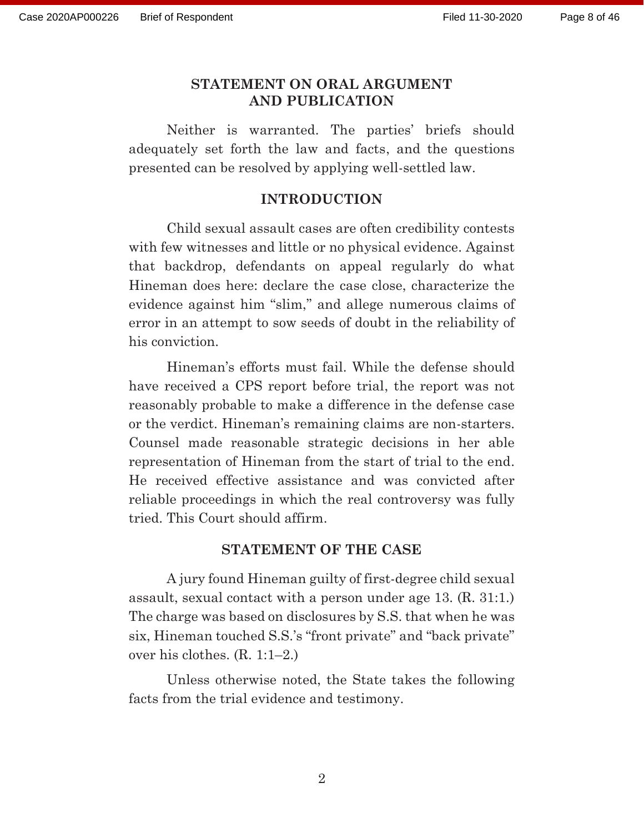#### **STATEMENT ON ORAL ARGUMENT AND PUBLICATION**

 Neither is warranted. The parties' briefs should adequately set forth the law and facts, and the questions presented can be resolved by applying well-settled law.

#### **INTRODUCTION**

 Child sexual assault cases are often credibility contests with few witnesses and little or no physical evidence. Against that backdrop, defendants on appeal regularly do what Hineman does here: declare the case close, characterize the evidence against him "slim," and allege numerous claims of error in an attempt to sow seeds of doubt in the reliability of his conviction.

 Hineman's efforts must fail. While the defense should have received a CPS report before trial, the report was not reasonably probable to make a difference in the defense case or the verdict. Hineman's remaining claims are non-starters. Counsel made reasonable strategic decisions in her able representation of Hineman from the start of trial to the end. He received effective assistance and was convicted after reliable proceedings in which the real controversy was fully tried. This Court should affirm.

#### **STATEMENT OF THE CASE**

 A jury found Hineman guilty of first-degree child sexual assault, sexual contact with a person under age 13. (R. 31:1.) The charge was based on disclosures by S.S. that when he was six, Hineman touched S.S.'s "front private" and "back private" over his clothes. (R. 1:1–2.)

 Unless otherwise noted, the State takes the following facts from the trial evidence and testimony.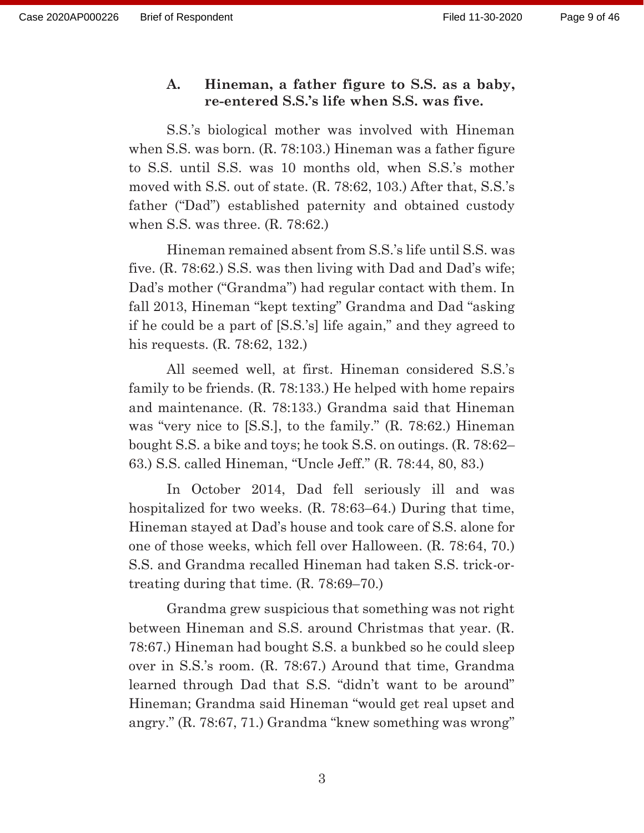### **A. Hineman, a father figure to S.S. as a baby, re-entered S.S.'s life when S.S. was five.**

 S.S.'s biological mother was involved with Hineman when S.S. was born. (R. 78:103.) Hineman was a father figure to S.S. until S.S. was 10 months old, when S.S.'s mother moved with S.S. out of state. (R. 78:62, 103.) After that, S.S.'s father ("Dad") established paternity and obtained custody when S.S. was three. (R. 78:62.)

 Hineman remained absent from S.S.'s life until S.S. was five. (R. 78:62.) S.S. was then living with Dad and Dad's wife; Dad's mother ("Grandma") had regular contact with them. In fall 2013, Hineman "kept texting" Grandma and Dad "asking if he could be a part of [S.S.'s] life again," and they agreed to his requests. (R. 78:62, 132.)

 All seemed well, at first. Hineman considered S.S.'s family to be friends. (R. 78:133.) He helped with home repairs and maintenance. (R. 78:133.) Grandma said that Hineman was "very nice to [S.S.], to the family." (R. 78:62.) Hineman bought S.S. a bike and toys; he took S.S. on outings. (R. 78:62– 63.) S.S. called Hineman, "Uncle Jeff." (R. 78:44, 80, 83.)

 In October 2014, Dad fell seriously ill and was hospitalized for two weeks. (R. 78:63–64.) During that time, Hineman stayed at Dad's house and took care of S.S. alone for one of those weeks, which fell over Halloween. (R. 78:64, 70.) S.S. and Grandma recalled Hineman had taken S.S. trick-ortreating during that time. (R. 78:69–70.)

 Grandma grew suspicious that something was not right between Hineman and S.S. around Christmas that year. (R. 78:67.) Hineman had bought S.S. a bunkbed so he could sleep over in S.S.'s room. (R. 78:67.) Around that time, Grandma learned through Dad that S.S. "didn't want to be around" Hineman; Grandma said Hineman "would get real upset and angry." (R. 78:67, 71.) Grandma "knew something was wrong"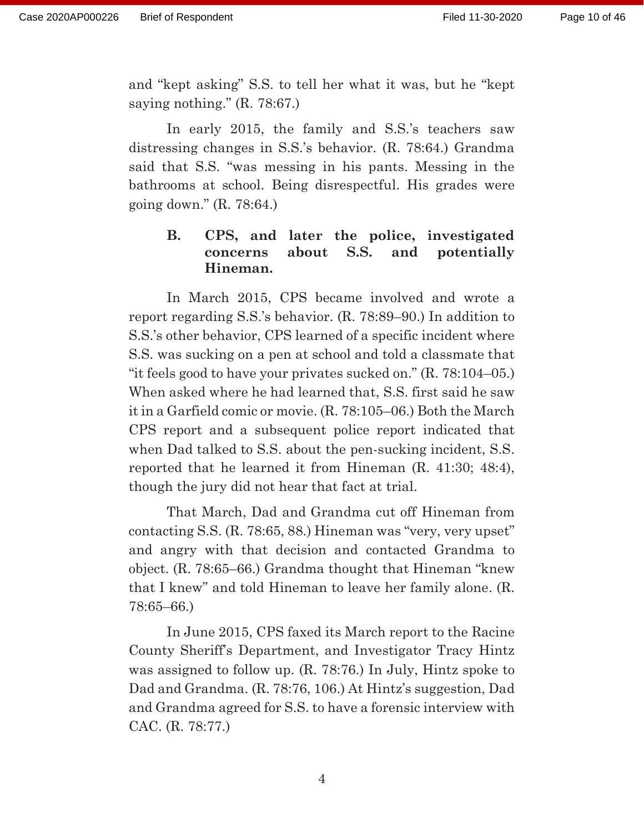and "kept asking" S.S. to tell her what it was, but he "kept saying nothing." (R. 78:67.)

 In early 2015, the family and S.S.'s teachers saw distressing changes in S.S.'s behavior. (R. 78:64.) Grandma said that S.S. "was messing in his pants. Messing in the bathrooms at school. Being disrespectful. His grades were going down." (R. 78:64.)

# **B. CPS, and later the police, investigated concerns about S.S. and potentially Hineman.**

 In March 2015, CPS became involved and wrote a report regarding S.S.'s behavior. (R. 78:89–90.) In addition to S.S.'s other behavior, CPS learned of a specific incident where S.S. was sucking on a pen at school and told a classmate that "it feels good to have your privates sucked on." (R. 78:104–05.) When asked where he had learned that, S.S. first said he saw it in a Garfield comic or movie. (R. 78:105–06.) Both the March CPS report and a subsequent police report indicated that when Dad talked to S.S. about the pen-sucking incident, S.S. reported that he learned it from Hineman (R. 41:30; 48:4), though the jury did not hear that fact at trial.

 That March, Dad and Grandma cut off Hineman from contacting S.S. (R. 78:65, 88.) Hineman was "very, very upset" and angry with that decision and contacted Grandma to object. (R. 78:65–66.) Grandma thought that Hineman "knew that I knew" and told Hineman to leave her family alone. (R. 78:65–66.)

 In June 2015, CPS faxed its March report to the Racine County Sheriff's Department, and Investigator Tracy Hintz was assigned to follow up. (R. 78:76.) In July, Hintz spoke to Dad and Grandma. (R. 78:76, 106.) At Hintz's suggestion, Dad and Grandma agreed for S.S. to have a forensic interview with CAC. (R. 78:77.)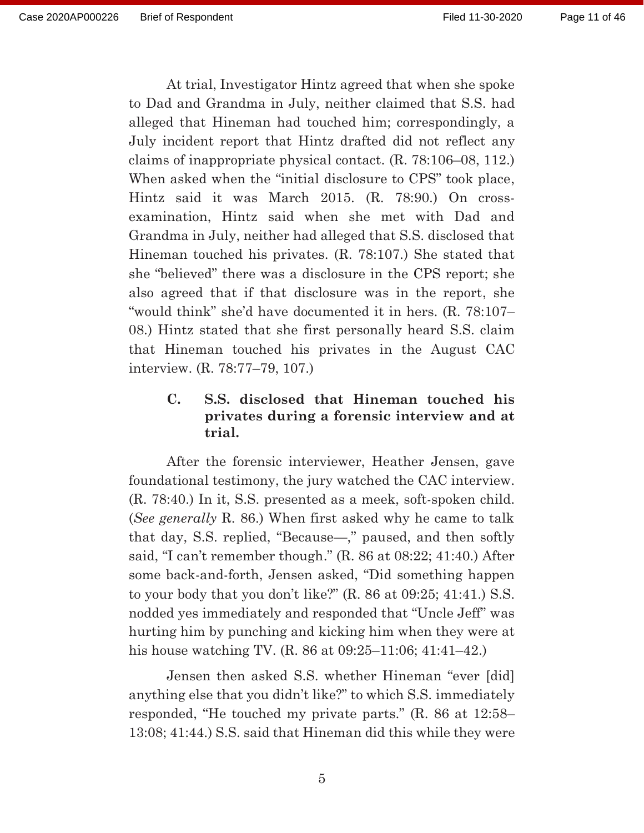At trial, Investigator Hintz agreed that when she spoke to Dad and Grandma in July, neither claimed that S.S. had alleged that Hineman had touched him; correspondingly, a July incident report that Hintz drafted did not reflect any claims of inappropriate physical contact. (R. 78:106–08, 112.) When asked when the "initial disclosure to CPS" took place, Hintz said it was March 2015. (R. 78:90.) On crossexamination, Hintz said when she met with Dad and Grandma in July, neither had alleged that S.S. disclosed that Hineman touched his privates. (R. 78:107.) She stated that she "believed" there was a disclosure in the CPS report; she also agreed that if that disclosure was in the report, she "would think" she'd have documented it in hers. (R. 78:107– 08.) Hintz stated that she first personally heard S.S. claim that Hineman touched his privates in the August CAC interview. (R. 78:77–79, 107.)

# **C. S.S. disclosed that Hineman touched his privates during a forensic interview and at trial.**

 After the forensic interviewer, Heather Jensen, gave foundational testimony, the jury watched the CAC interview. (R. 78:40.) In it, S.S. presented as a meek, soft-spoken child. (*See generally* R. 86.) When first asked why he came to talk that day, S.S. replied, "Because—," paused, and then softly said, "I can't remember though." (R. 86 at 08:22; 41:40.) After some back-and-forth, Jensen asked, "Did something happen to your body that you don't like?" (R. 86 at 09:25; 41:41.) S.S. nodded yes immediately and responded that "Uncle Jeff" was hurting him by punching and kicking him when they were at his house watching TV. (R. 86 at 09:25–11:06; 41:41–42.)

 Jensen then asked S.S. whether Hineman "ever [did] anything else that you didn't like?" to which S.S. immediately responded, "He touched my private parts." (R. 86 at 12:58– 13:08; 41:44.) S.S. said that Hineman did this while they were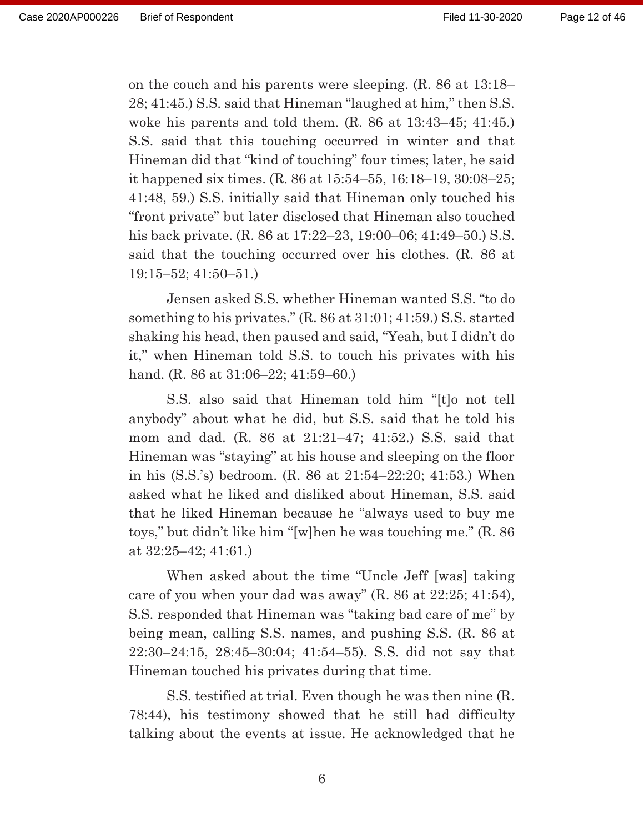on the couch and his parents were sleeping. (R. 86 at 13:18– 28; 41:45.) S.S. said that Hineman "laughed at him," then S.S. woke his parents and told them. (R. 86 at 13:43–45; 41:45.) S.S. said that this touching occurred in winter and that Hineman did that "kind of touching" four times; later, he said it happened six times. (R. 86 at 15:54–55, 16:18–19, 30:08–25; 41:48, 59.) S.S. initially said that Hineman only touched his "front private" but later disclosed that Hineman also touched his back private. (R. 86 at 17:22–23, 19:00–06; 41:49–50.) S.S. said that the touching occurred over his clothes. (R. 86 at 19:15–52; 41:50–51.)

 Jensen asked S.S. whether Hineman wanted S.S. "to do something to his privates." (R. 86 at 31:01; 41:59.) S.S. started shaking his head, then paused and said, "Yeah, but I didn't do it," when Hineman told S.S. to touch his privates with his hand. (R. 86 at 31:06–22; 41:59–60.)

 S.S. also said that Hineman told him "[t]o not tell anybody" about what he did, but S.S. said that he told his mom and dad. (R. 86 at 21:21–47; 41:52.) S.S. said that Hineman was "staying" at his house and sleeping on the floor in his (S.S.'s) bedroom. (R. 86 at 21:54–22:20; 41:53.) When asked what he liked and disliked about Hineman, S.S. said that he liked Hineman because he "always used to buy me toys," but didn't like him "[w]hen he was touching me." (R. 86 at 32:25–42; 41:61.)

 When asked about the time "Uncle Jeff [was] taking care of you when your dad was away" (R. 86 at 22:25; 41:54), S.S. responded that Hineman was "taking bad care of me" by being mean, calling S.S. names, and pushing S.S. (R. 86 at 22:30–24:15, 28:45–30:04; 41:54–55). S.S. did not say that Hineman touched his privates during that time.

 S.S. testified at trial. Even though he was then nine (R. 78:44), his testimony showed that he still had difficulty talking about the events at issue. He acknowledged that he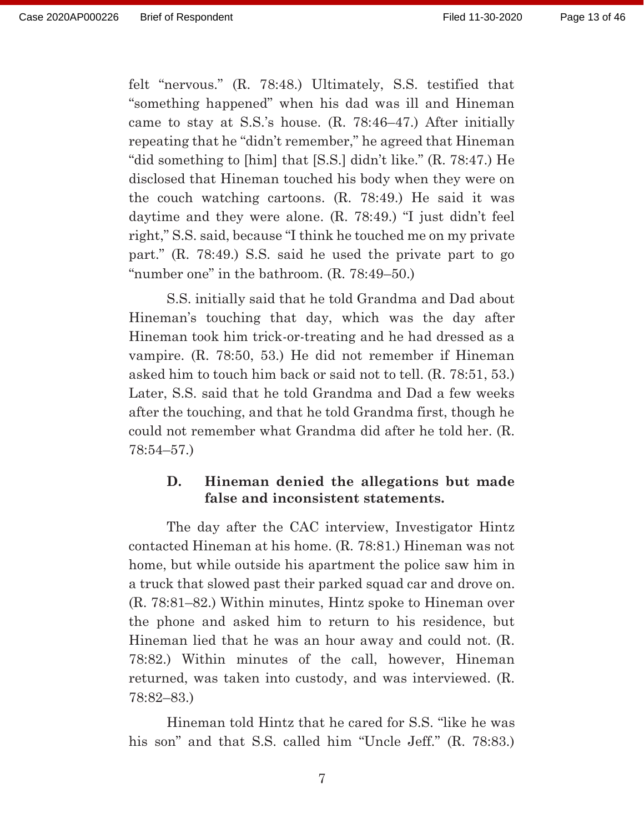felt "nervous." (R. 78:48.) Ultimately, S.S. testified that "something happened" when his dad was ill and Hineman came to stay at S.S.'s house. (R. 78:46–47.) After initially repeating that he "didn't remember," he agreed that Hineman "did something to [him] that [S.S.] didn't like." (R. 78:47.) He disclosed that Hineman touched his body when they were on the couch watching cartoons. (R. 78:49.) He said it was daytime and they were alone. (R. 78:49.) "I just didn't feel right," S.S. said, because "I think he touched me on my private part." (R. 78:49.) S.S. said he used the private part to go "number one" in the bathroom. (R. 78:49–50.)

 S.S. initially said that he told Grandma and Dad about Hineman's touching that day, which was the day after Hineman took him trick-or-treating and he had dressed as a vampire. (R. 78:50, 53.) He did not remember if Hineman asked him to touch him back or said not to tell. (R. 78:51, 53.) Later, S.S. said that he told Grandma and Dad a few weeks after the touching, and that he told Grandma first, though he could not remember what Grandma did after he told her. (R. 78:54–57.)

### **D. Hineman denied the allegations but made false and inconsistent statements.**

 The day after the CAC interview, Investigator Hintz contacted Hineman at his home. (R. 78:81.) Hineman was not home, but while outside his apartment the police saw him in a truck that slowed past their parked squad car and drove on. (R. 78:81–82.) Within minutes, Hintz spoke to Hineman over the phone and asked him to return to his residence, but Hineman lied that he was an hour away and could not. (R. 78:82.) Within minutes of the call, however, Hineman returned, was taken into custody, and was interviewed. (R. 78:82–83.)

 Hineman told Hintz that he cared for S.S. "like he was his son" and that S.S. called him "Uncle Jeff." (R. 78:83.)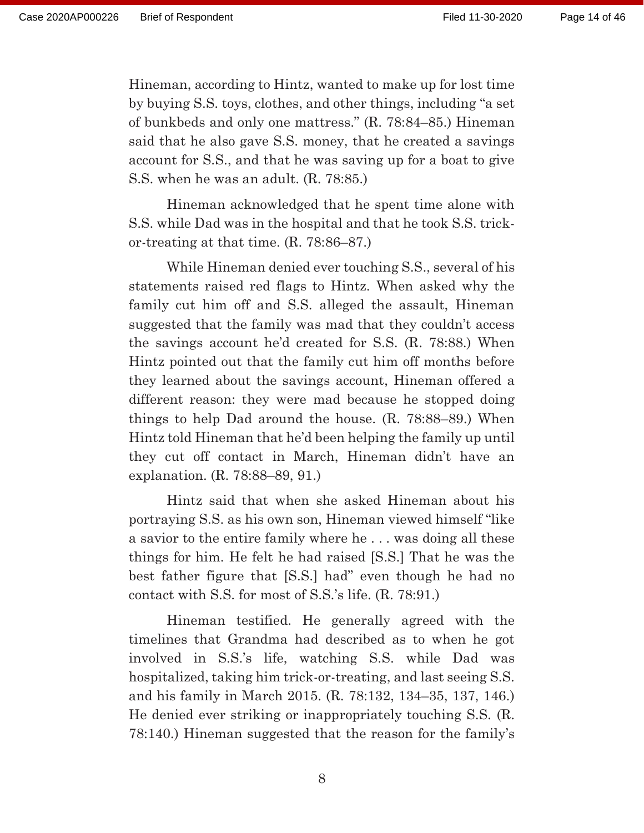Hineman, according to Hintz, wanted to make up for lost time by buying S.S. toys, clothes, and other things, including "a set of bunkbeds and only one mattress." (R. 78:84–85.) Hineman said that he also gave S.S. money, that he created a savings account for S.S., and that he was saving up for a boat to give S.S. when he was an adult. (R. 78:85.)

 Hineman acknowledged that he spent time alone with S.S. while Dad was in the hospital and that he took S.S. trickor-treating at that time. (R. 78:86–87.)

 While Hineman denied ever touching S.S., several of his statements raised red flags to Hintz. When asked why the family cut him off and S.S. alleged the assault, Hineman suggested that the family was mad that they couldn't access the savings account he'd created for S.S. (R. 78:88.) When Hintz pointed out that the family cut him off months before they learned about the savings account, Hineman offered a different reason: they were mad because he stopped doing things to help Dad around the house. (R. 78:88–89.) When Hintz told Hineman that he'd been helping the family up until they cut off contact in March, Hineman didn't have an explanation. (R. 78:88–89, 91.)

 Hintz said that when she asked Hineman about his portraying S.S. as his own son, Hineman viewed himself "like a savior to the entire family where he . . . was doing all these things for him. He felt he had raised [S.S.] That he was the best father figure that [S.S.] had" even though he had no contact with S.S. for most of S.S.'s life. (R. 78:91.)

 Hineman testified. He generally agreed with the timelines that Grandma had described as to when he got involved in S.S.'s life, watching S.S. while Dad was hospitalized, taking him trick-or-treating, and last seeing S.S. and his family in March 2015. (R. 78:132, 134–35, 137, 146.) He denied ever striking or inappropriately touching S.S. (R. 78:140.) Hineman suggested that the reason for the family's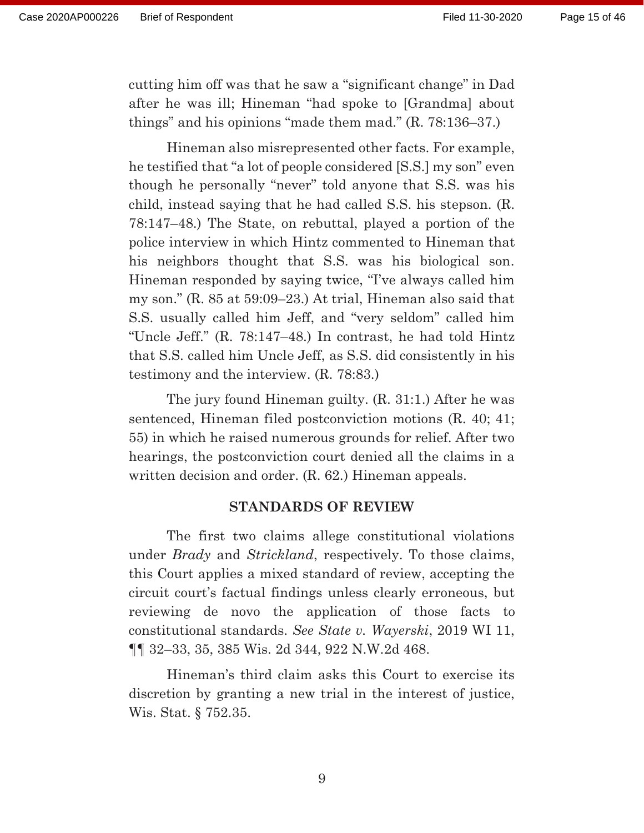cutting him off was that he saw a "significant change" in Dad after he was ill; Hineman "had spoke to [Grandma] about things" and his opinions "made them mad." (R. 78:136–37.)

 Hineman also misrepresented other facts. For example, he testified that "a lot of people considered [S.S.] my son" even though he personally "never" told anyone that S.S. was his child, instead saying that he had called S.S. his stepson. (R. 78:147–48.) The State, on rebuttal, played a portion of the police interview in which Hintz commented to Hineman that his neighbors thought that S.S. was his biological son. Hineman responded by saying twice, "I've always called him my son." (R. 85 at 59:09–23.) At trial, Hineman also said that S.S. usually called him Jeff, and "very seldom" called him "Uncle Jeff." (R. 78:147–48.) In contrast, he had told Hintz that S.S. called him Uncle Jeff, as S.S. did consistently in his testimony and the interview. (R. 78:83.)

 The jury found Hineman guilty. (R. 31:1.) After he was sentenced, Hineman filed postconviction motions (R. 40; 41; 55) in which he raised numerous grounds for relief. After two hearings, the postconviction court denied all the claims in a written decision and order. (R. 62.) Hineman appeals.

#### **STANDARDS OF REVIEW**

 The first two claims allege constitutional violations under *Brady* and *Strickland*, respectively. To those claims, this Court applies a mixed standard of review, accepting the circuit court's factual findings unless clearly erroneous, but reviewing de novo the application of those facts to constitutional standards. *See State v. Wayerski*, 2019 WI 11, ¶¶ 32–33, 35, 385 Wis. 2d 344, 922 N.W.2d 468.

 Hineman's third claim asks this Court to exercise its discretion by granting a new trial in the interest of justice, Wis. Stat. § 752.35.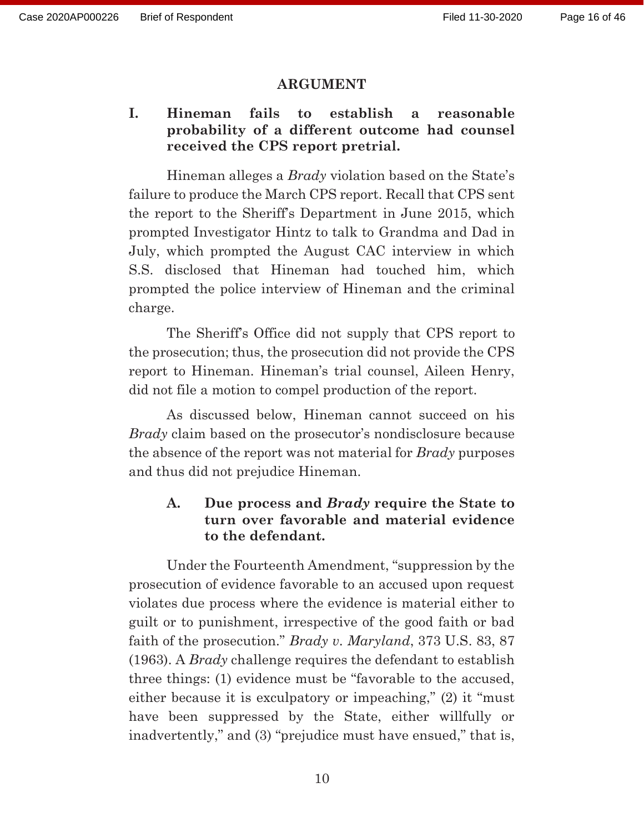#### **ARGUMENT**

# **I. Hineman fails to establish a reasonable probability of a different outcome had counsel received the CPS report pretrial.**

Hineman alleges a *Brady* violation based on the State's failure to produce the March CPS report. Recall that CPS sent the report to the Sheriff's Department in June 2015, which prompted Investigator Hintz to talk to Grandma and Dad in July, which prompted the August CAC interview in which S.S. disclosed that Hineman had touched him, which prompted the police interview of Hineman and the criminal charge.

The Sheriff's Office did not supply that CPS report to the prosecution; thus, the prosecution did not provide the CPS report to Hineman. Hineman's trial counsel, Aileen Henry, did not file a motion to compel production of the report.

As discussed below, Hineman cannot succeed on his *Brady* claim based on the prosecutor's nondisclosure because the absence of the report was not material for *Brady* purposes and thus did not prejudice Hineman.

# **A. Due process and** *Brady* **require the State to turn over favorable and material evidence to the defendant.**

 Under the Fourteenth Amendment, "suppression by the prosecution of evidence favorable to an accused upon request violates due process where the evidence is material either to guilt or to punishment, irrespective of the good faith or bad faith of the prosecution." *Brady v. Maryland*, 373 U.S. 83, 87 (1963). A *Brady* challenge requires the defendant to establish three things: (1) evidence must be "favorable to the accused, either because it is exculpatory or impeaching," (2) it "must have been suppressed by the State, either willfully or inadvertently," and (3) "prejudice must have ensued," that is,

10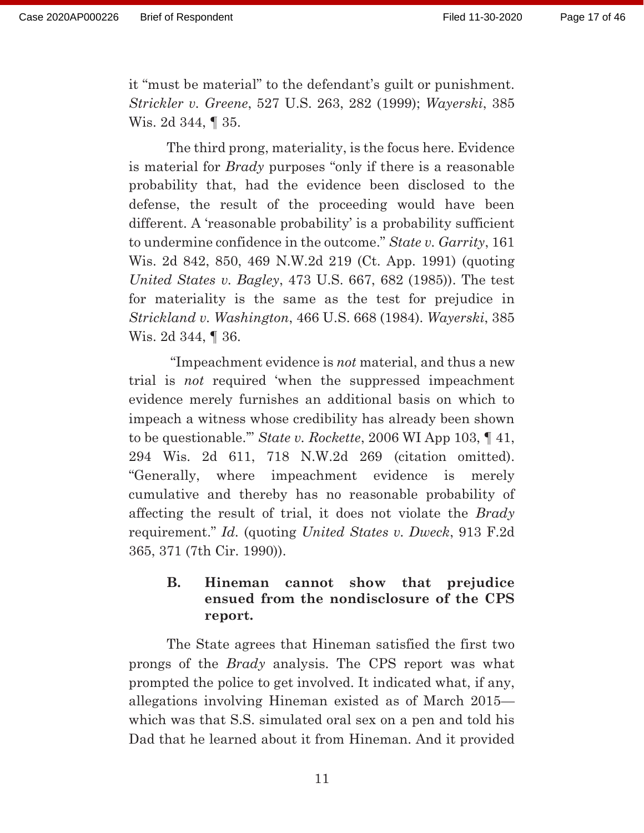it "must be material" to the defendant's guilt or punishment. *Strickler v. Greene*, 527 U.S. 263, 282 (1999); *Wayerski*, 385 Wis. 2d 344, ¶ 35.

 The third prong, materiality, is the focus here. Evidence is material for *Brady* purposes "only if there is a reasonable probability that, had the evidence been disclosed to the defense, the result of the proceeding would have been different. A 'reasonable probability' is a probability sufficient to undermine confidence in the outcome." *State v. Garrity*, 161 Wis. 2d 842, 850, 469 N.W.2d 219 (Ct. App. 1991) (quoting *United States v. Bagley*, 473 U.S. 667, 682 (1985)). The test for materiality is the same as the test for prejudice in *Strickland v. Washington*, 466 U.S. 668 (1984). *Wayerski*, 385 Wis. 2d 344, ¶ 36.

 "Impeachment evidence is *not* material, and thus a new trial is *not* required 'when the suppressed impeachment evidence merely furnishes an additional basis on which to impeach a witness whose credibility has already been shown to be questionable.'" *State v. Rockette*, 2006 WI App 103, ¶ 41, 294 Wis. 2d 611, 718 N.W.2d 269 (citation omitted). "Generally, where impeachment evidence is merely cumulative and thereby has no reasonable probability of affecting the result of trial, it does not violate the *Brady* requirement." *Id.* (quoting *United States v. Dweck*, 913 F.2d 365, 371 (7th Cir. 1990)).

# **B. Hineman cannot show that prejudice ensued from the nondisclosure of the CPS report.**

 The State agrees that Hineman satisfied the first two prongs of the *Brady* analysis. The CPS report was what prompted the police to get involved. It indicated what, if any, allegations involving Hineman existed as of March 2015 which was that S.S. simulated oral sex on a pen and told his Dad that he learned about it from Hineman. And it provided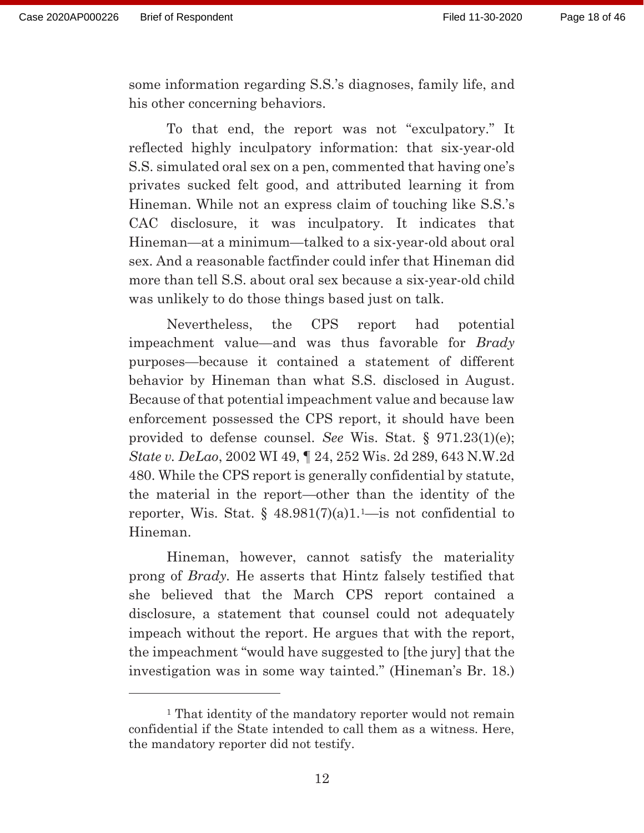some information regarding S.S.'s diagnoses, family life, and his other concerning behaviors.

 To that end, the report was not "exculpatory." It reflected highly inculpatory information: that six-year-old S.S. simulated oral sex on a pen, commented that having one's privates sucked felt good, and attributed learning it from Hineman. While not an express claim of touching like S.S.'s CAC disclosure, it was inculpatory. It indicates that Hineman—at a minimum—talked to a six-year-old about oral sex. And a reasonable factfinder could infer that Hineman did more than tell S.S. about oral sex because a six-year-old child was unlikely to do those things based just on talk.

 Nevertheless, the CPS report had potential impeachment value—and was thus favorable for *Brady* purposes—because it contained a statement of different behavior by Hineman than what S.S. disclosed in August. Because of that potential impeachment value and because law enforcement possessed the CPS report, it should have been provided to defense counsel. *See* Wis. Stat. § 971.23(1)(e); *State v. DeLao*, 2002 WI 49, ¶ 24, 252 Wis. 2d 289, 643 N.W.2d 480. While the CPS report is generally confidential by statute, the material in the report—other than the identity of the reporter, Wis. Stat.  $\S$  48.981(7)(a)1.<sup>1</sup>—is not confidential to Hineman.

 Hineman, however, cannot satisfy the materiality prong of *Brady.* He asserts that Hintz falsely testified that she believed that the March CPS report contained a disclosure, a statement that counsel could not adequately impeach without the report. He argues that with the report, the impeachment "would have suggested to [the jury] that the investigation was in some way tainted." (Hineman's Br. 18.)

<sup>&</sup>lt;sup>1</sup> That identity of the mandatory reporter would not remain confidential if the State intended to call them as a witness. Here, the mandatory reporter did not testify.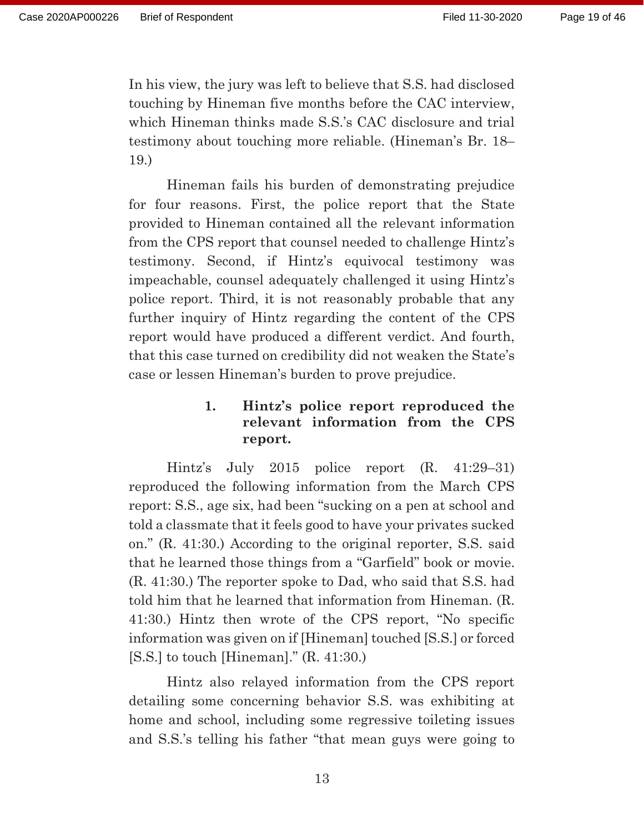In his view, the jury was left to believe that S.S. had disclosed touching by Hineman five months before the CAC interview, which Hineman thinks made S.S.'s CAC disclosure and trial testimony about touching more reliable. (Hineman's Br. 18– 19.)

 Hineman fails his burden of demonstrating prejudice for four reasons. First, the police report that the State provided to Hineman contained all the relevant information from the CPS report that counsel needed to challenge Hintz's testimony. Second, if Hintz's equivocal testimony was impeachable, counsel adequately challenged it using Hintz's police report. Third, it is not reasonably probable that any further inquiry of Hintz regarding the content of the CPS report would have produced a different verdict. And fourth, that this case turned on credibility did not weaken the State's case or lessen Hineman's burden to prove prejudice.

# **1. Hintz's police report reproduced the relevant information from the CPS report.**

 Hintz's July 2015 police report (R. 41:29–31) reproduced the following information from the March CPS report: S.S., age six, had been "sucking on a pen at school and told a classmate that it feels good to have your privates sucked on." (R. 41:30.) According to the original reporter, S.S. said that he learned those things from a "Garfield" book or movie. (R. 41:30.) The reporter spoke to Dad, who said that S.S. had told him that he learned that information from Hineman. (R. 41:30.) Hintz then wrote of the CPS report, "No specific information was given on if [Hineman] touched [S.S.] or forced  $[S.S.]$  to touch [Hineman]."  $(R. 41:30.)$ 

 Hintz also relayed information from the CPS report detailing some concerning behavior S.S. was exhibiting at home and school, including some regressive toileting issues and S.S.'s telling his father "that mean guys were going to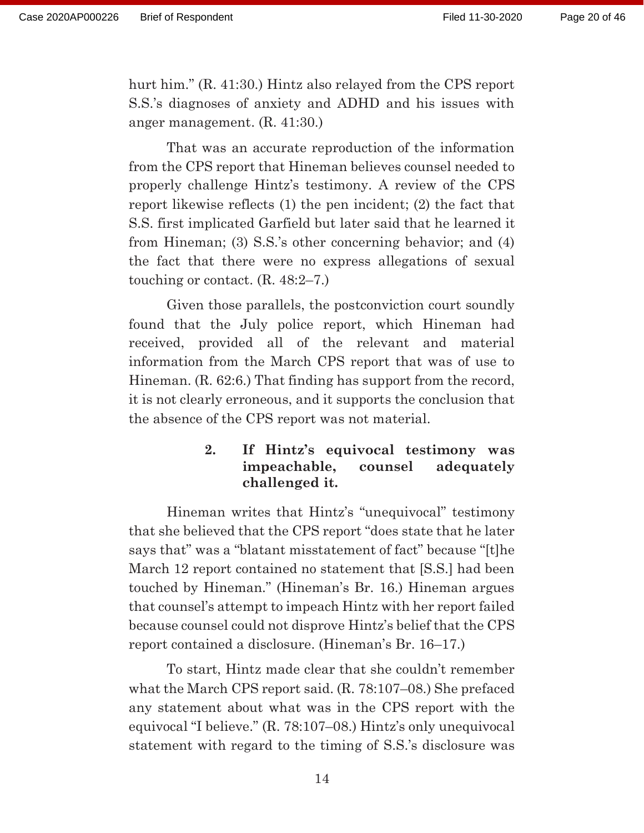hurt him." (R. 41:30.) Hintz also relayed from the CPS report S.S.'s diagnoses of anxiety and ADHD and his issues with anger management. (R. 41:30.)

 That was an accurate reproduction of the information from the CPS report that Hineman believes counsel needed to properly challenge Hintz's testimony. A review of the CPS report likewise reflects (1) the pen incident; (2) the fact that S.S. first implicated Garfield but later said that he learned it from Hineman; (3) S.S.'s other concerning behavior; and (4) the fact that there were no express allegations of sexual touching or contact. (R. 48:2–7.)

 Given those parallels, the postconviction court soundly found that the July police report, which Hineman had received, provided all of the relevant and material information from the March CPS report that was of use to Hineman. (R. 62:6.) That finding has support from the record, it is not clearly erroneous, and it supports the conclusion that the absence of the CPS report was not material.

## **2. If Hintz's equivocal testimony was impeachable, counsel adequately challenged it.**

 Hineman writes that Hintz's "unequivocal" testimony that she believed that the CPS report "does state that he later says that" was a "blatant misstatement of fact" because "[t]he March 12 report contained no statement that [S.S.] had been touched by Hineman." (Hineman's Br. 16.) Hineman argues that counsel's attempt to impeach Hintz with her report failed because counsel could not disprove Hintz's belief that the CPS report contained a disclosure. (Hineman's Br. 16–17.)

 To start, Hintz made clear that she couldn't remember what the March CPS report said. (R. 78:107–08.) She prefaced any statement about what was in the CPS report with the equivocal "I believe." (R. 78:107–08.) Hintz's only unequivocal statement with regard to the timing of S.S.'s disclosure was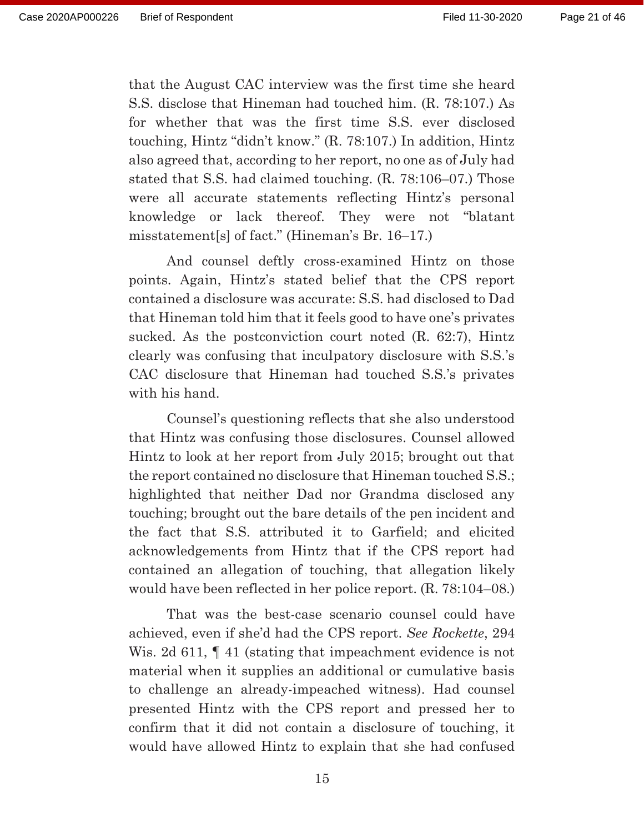that the August CAC interview was the first time she heard S.S. disclose that Hineman had touched him. (R. 78:107.) As for whether that was the first time S.S. ever disclosed touching, Hintz "didn't know." (R. 78:107.) In addition, Hintz also agreed that, according to her report, no one as of July had stated that S.S. had claimed touching. (R. 78:106–07.) Those were all accurate statements reflecting Hintz's personal knowledge or lack thereof. They were not "blatant misstatement[s] of fact." (Hineman's Br. 16–17.)

 And counsel deftly cross-examined Hintz on those points. Again, Hintz's stated belief that the CPS report contained a disclosure was accurate: S.S. had disclosed to Dad that Hineman told him that it feels good to have one's privates sucked. As the postconviction court noted (R. 62:7), Hintz clearly was confusing that inculpatory disclosure with S.S.'s CAC disclosure that Hineman had touched S.S.'s privates with his hand.

 Counsel's questioning reflects that she also understood that Hintz was confusing those disclosures. Counsel allowed Hintz to look at her report from July 2015; brought out that the report contained no disclosure that Hineman touched S.S.; highlighted that neither Dad nor Grandma disclosed any touching; brought out the bare details of the pen incident and the fact that S.S. attributed it to Garfield; and elicited acknowledgements from Hintz that if the CPS report had contained an allegation of touching, that allegation likely would have been reflected in her police report. (R. 78:104–08.)

 That was the best-case scenario counsel could have achieved, even if she'd had the CPS report. *See Rockette*, 294 Wis. 2d 611,  $\llbracket$  41 (stating that impeachment evidence is not material when it supplies an additional or cumulative basis to challenge an already-impeached witness). Had counsel presented Hintz with the CPS report and pressed her to confirm that it did not contain a disclosure of touching, it would have allowed Hintz to explain that she had confused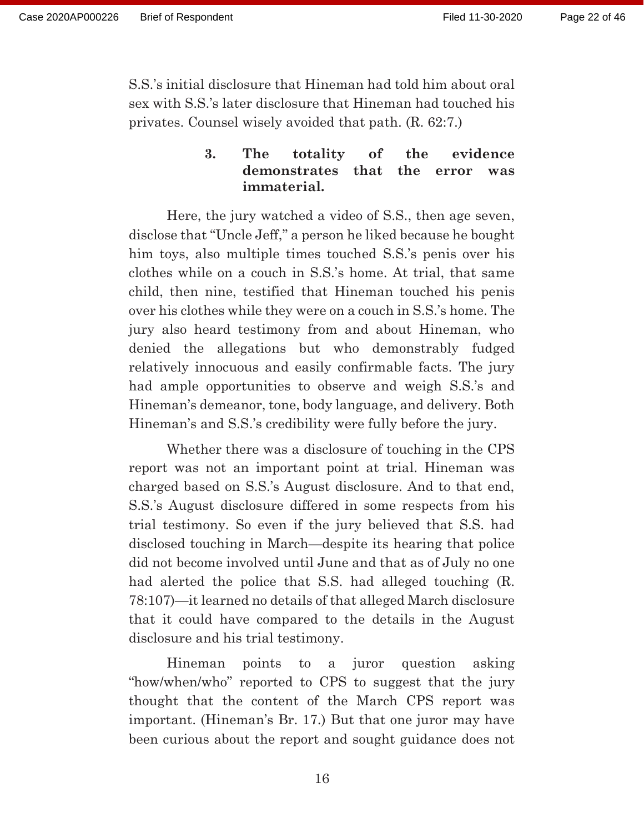S.S.'s initial disclosure that Hineman had told him about oral sex with S.S.'s later disclosure that Hineman had touched his privates. Counsel wisely avoided that path. (R. 62:7.)

# **3. The totality of the evidence demonstrates that the error was immaterial.**

 Here, the jury watched a video of S.S., then age seven, disclose that "Uncle Jeff," a person he liked because he bought him toys, also multiple times touched S.S.'s penis over his clothes while on a couch in S.S.'s home. At trial, that same child, then nine, testified that Hineman touched his penis over his clothes while they were on a couch in S.S.'s home. The jury also heard testimony from and about Hineman, who denied the allegations but who demonstrably fudged relatively innocuous and easily confirmable facts. The jury had ample opportunities to observe and weigh S.S.'s and Hineman's demeanor, tone, body language, and delivery. Both Hineman's and S.S.'s credibility were fully before the jury.

 Whether there was a disclosure of touching in the CPS report was not an important point at trial. Hineman was charged based on S.S.'s August disclosure. And to that end, S.S.'s August disclosure differed in some respects from his trial testimony. So even if the jury believed that S.S. had disclosed touching in March—despite its hearing that police did not become involved until June and that as of July no one had alerted the police that S.S. had alleged touching (R. 78:107)—it learned no details of that alleged March disclosure that it could have compared to the details in the August disclosure and his trial testimony.

 Hineman points to a juror question asking "how/when/who" reported to CPS to suggest that the jury thought that the content of the March CPS report was important. (Hineman's Br. 17.) But that one juror may have been curious about the report and sought guidance does not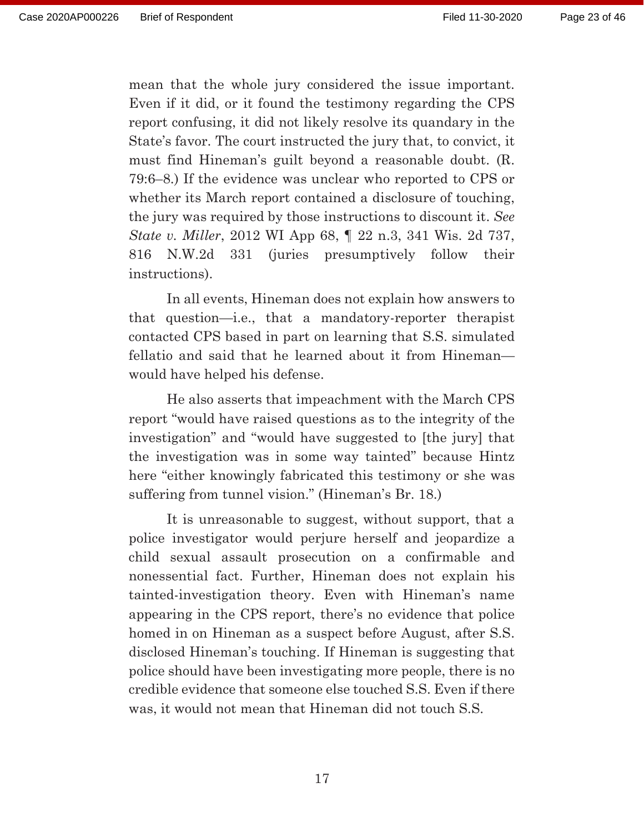mean that the whole jury considered the issue important. Even if it did, or it found the testimony regarding the CPS report confusing, it did not likely resolve its quandary in the State's favor. The court instructed the jury that, to convict, it must find Hineman's guilt beyond a reasonable doubt. (R. 79:6–8.) If the evidence was unclear who reported to CPS or whether its March report contained a disclosure of touching, the jury was required by those instructions to discount it. *See State v. Miller*, 2012 WI App 68, ¶ 22 n.3, 341 Wis. 2d 737, 816 N.W.2d 331 (juries presumptively follow their instructions).

 In all events, Hineman does not explain how answers to that question—i.e., that a mandatory-reporter therapist contacted CPS based in part on learning that S.S. simulated fellatio and said that he learned about it from Hineman would have helped his defense.

 He also asserts that impeachment with the March CPS report "would have raised questions as to the integrity of the investigation" and "would have suggested to [the jury] that the investigation was in some way tainted" because Hintz here "either knowingly fabricated this testimony or she was suffering from tunnel vision." (Hineman's Br. 18.)

 It is unreasonable to suggest, without support, that a police investigator would perjure herself and jeopardize a child sexual assault prosecution on a confirmable and nonessential fact. Further, Hineman does not explain his tainted-investigation theory. Even with Hineman's name appearing in the CPS report, there's no evidence that police homed in on Hineman as a suspect before August, after S.S. disclosed Hineman's touching. If Hineman is suggesting that police should have been investigating more people, there is no credible evidence that someone else touched S.S. Even if there was, it would not mean that Hineman did not touch S.S.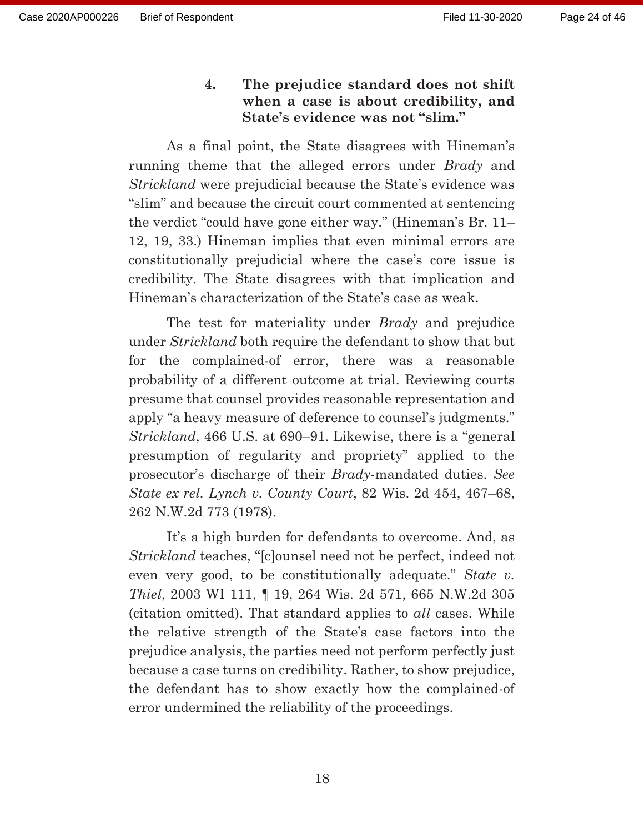# **4. The prejudice standard does not shift when a case is about credibility, and State's evidence was not "slim."**

 As a final point, the State disagrees with Hineman's running theme that the alleged errors under *Brady* and *Strickland* were prejudicial because the State's evidence was "slim" and because the circuit court commented at sentencing the verdict "could have gone either way." (Hineman's Br. 11– 12, 19, 33.) Hineman implies that even minimal errors are constitutionally prejudicial where the case's core issue is credibility. The State disagrees with that implication and Hineman's characterization of the State's case as weak.

 The test for materiality under *Brady* and prejudice under *Strickland* both require the defendant to show that but for the complained-of error, there was a reasonable probability of a different outcome at trial. Reviewing courts presume that counsel provides reasonable representation and apply "a heavy measure of deference to counsel's judgments." *Strickland*, 466 U.S. at 690–91. Likewise, there is a "general presumption of regularity and propriety" applied to the prosecutor's discharge of their *Brady*-mandated duties. *See State ex rel. Lynch v. County Court*, 82 Wis. 2d 454, 467–68, 262 N.W.2d 773 (1978).

 It's a high burden for defendants to overcome. And, as *Strickland* teaches, "[c]ounsel need not be perfect, indeed not even very good, to be constitutionally adequate." *State v. Thiel*, 2003 WI 111, ¶ 19, 264 Wis. 2d 571, 665 N.W.2d 305 (citation omitted). That standard applies to *all* cases. While the relative strength of the State's case factors into the prejudice analysis, the parties need not perform perfectly just because a case turns on credibility. Rather, to show prejudice, the defendant has to show exactly how the complained-of error undermined the reliability of the proceedings.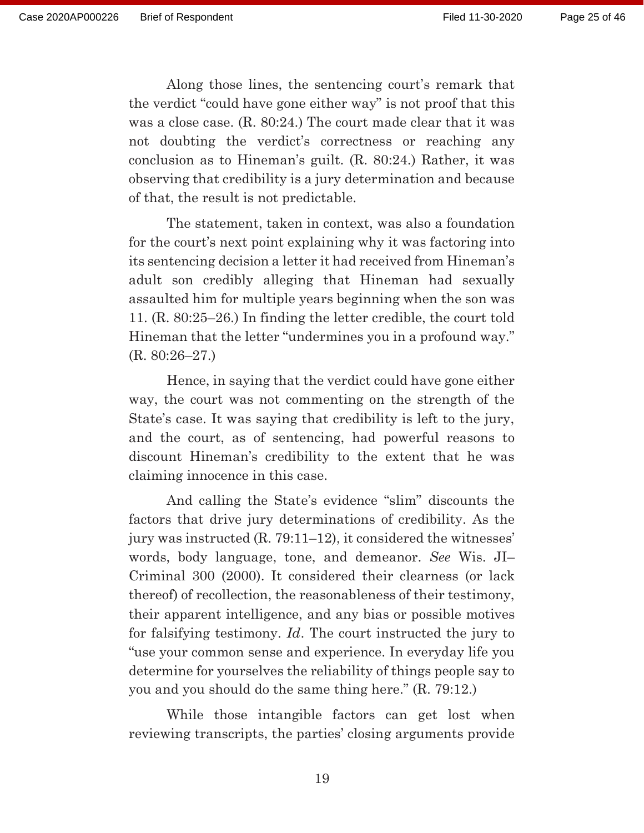Along those lines, the sentencing court's remark that the verdict "could have gone either way" is not proof that this was a close case. (R. 80:24.) The court made clear that it was not doubting the verdict's correctness or reaching any conclusion as to Hineman's guilt. (R. 80:24.) Rather, it was observing that credibility is a jury determination and because of that, the result is not predictable.

 The statement, taken in context, was also a foundation for the court's next point explaining why it was factoring into its sentencing decision a letter it had received from Hineman's adult son credibly alleging that Hineman had sexually assaulted him for multiple years beginning when the son was 11. (R. 80:25–26.) In finding the letter credible, the court told Hineman that the letter "undermines you in a profound way." (R. 80:26–27.)

 Hence, in saying that the verdict could have gone either way, the court was not commenting on the strength of the State's case. It was saying that credibility is left to the jury, and the court, as of sentencing, had powerful reasons to discount Hineman's credibility to the extent that he was claiming innocence in this case.

 And calling the State's evidence "slim" discounts the factors that drive jury determinations of credibility. As the jury was instructed (R. 79:11–12), it considered the witnesses' words, body language, tone, and demeanor. *See* Wis. JI– Criminal 300 (2000). It considered their clearness (or lack thereof) of recollection, the reasonableness of their testimony, their apparent intelligence, and any bias or possible motives for falsifying testimony. *Id*. The court instructed the jury to "use your common sense and experience. In everyday life you determine for yourselves the reliability of things people say to you and you should do the same thing here." (R. 79:12.)

 While those intangible factors can get lost when reviewing transcripts, the parties' closing arguments provide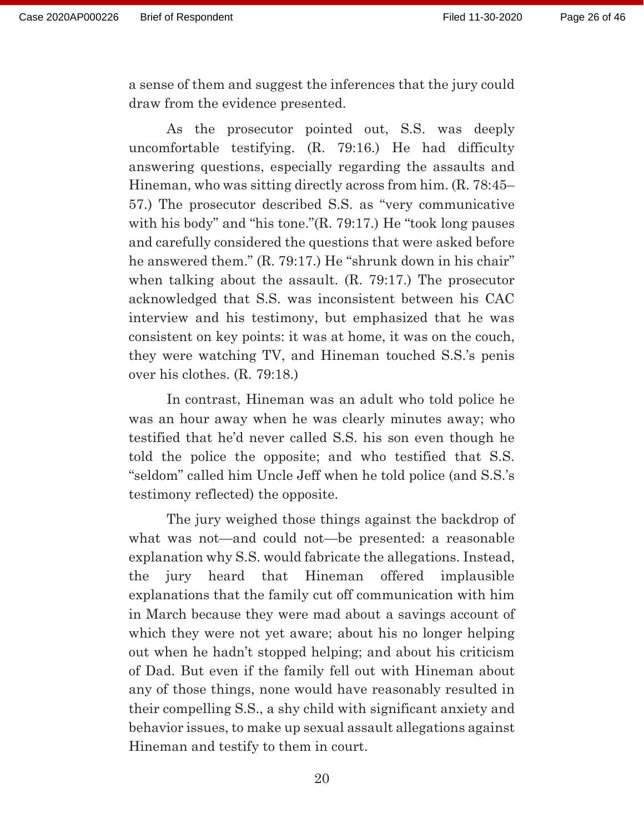a sense of them and suggest the inferences that the jury could draw from the evidence presented.

 As the prosecutor pointed out, S.S. was deeply uncomfortable testifying. (R. 79:16.) He had difficulty answering questions, especially regarding the assaults and Hineman, who was sitting directly across from him. (R. 78:45– 57.) The prosecutor described S.S. as "very communicative with his body" and "his tone."(R. 79:17.) He "took long pauses and carefully considered the questions that were asked before he answered them." (R. 79:17.) He "shrunk down in his chair" when talking about the assault. (R. 79:17.) The prosecutor acknowledged that S.S. was inconsistent between his CAC interview and his testimony, but emphasized that he was consistent on key points: it was at home, it was on the couch, they were watching TV, and Hineman touched S.S.'s penis over his clothes. (R. 79:18.)

 In contrast, Hineman was an adult who told police he was an hour away when he was clearly minutes away; who testified that he'd never called S.S. his son even though he told the police the opposite; and who testified that S.S. "seldom" called him Uncle Jeff when he told police (and S.S.'s testimony reflected) the opposite.

 The jury weighed those things against the backdrop of what was not—and could not—be presented: a reasonable explanation why S.S. would fabricate the allegations. Instead, the jury heard that Hineman offered implausible explanations that the family cut off communication with him in March because they were mad about a savings account of which they were not yet aware; about his no longer helping out when he hadn't stopped helping; and about his criticism of Dad. But even if the family fell out with Hineman about any of those things, none would have reasonably resulted in their compelling S.S., a shy child with significant anxiety and behavior issues, to make up sexual assault allegations against Hineman and testify to them in court.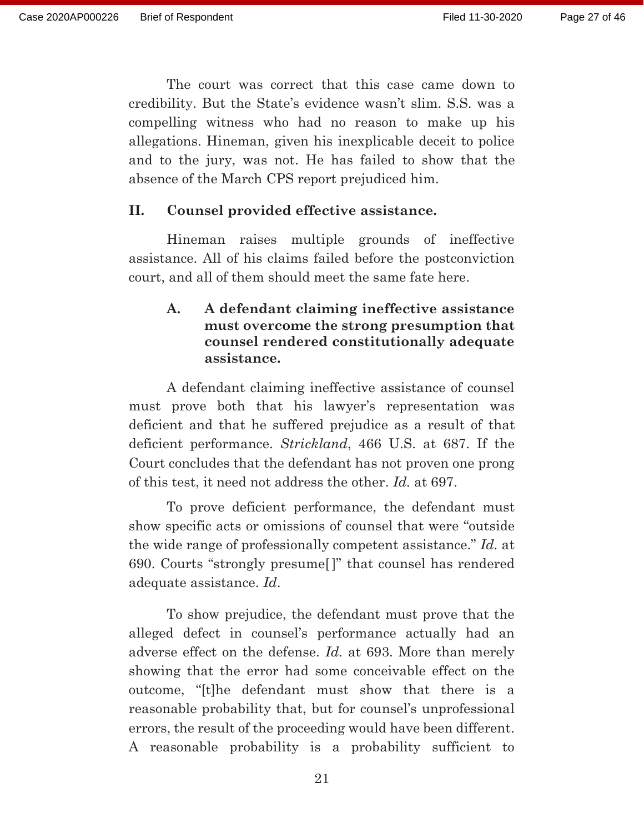The court was correct that this case came down to credibility. But the State's evidence wasn't slim. S.S. was a compelling witness who had no reason to make up his allegations. Hineman, given his inexplicable deceit to police and to the jury, was not. He has failed to show that the absence of the March CPS report prejudiced him.

#### **II. Counsel provided effective assistance.**

Hineman raises multiple grounds of ineffective assistance. All of his claims failed before the postconviction court, and all of them should meet the same fate here.

## **A. A defendant claiming ineffective assistance must overcome the strong presumption that counsel rendered constitutionally adequate assistance.**

 A defendant claiming ineffective assistance of counsel must prove both that his lawyer's representation was deficient and that he suffered prejudice as a result of that deficient performance. *Strickland*, 466 U.S. at 687. If the Court concludes that the defendant has not proven one prong of this test, it need not address the other. *Id.* at 697.

 To prove deficient performance, the defendant must show specific acts or omissions of counsel that were "outside the wide range of professionally competent assistance." *Id.* at 690. Courts "strongly presume[]" that counsel has rendered adequate assistance. *Id*.

 To show prejudice, the defendant must prove that the alleged defect in counsel's performance actually had an adverse effect on the defense. *Id.* at 693. More than merely showing that the error had some conceivable effect on the outcome, "[t]he defendant must show that there is a reasonable probability that, but for counsel's unprofessional errors, the result of the proceeding would have been different. A reasonable probability is a probability sufficient to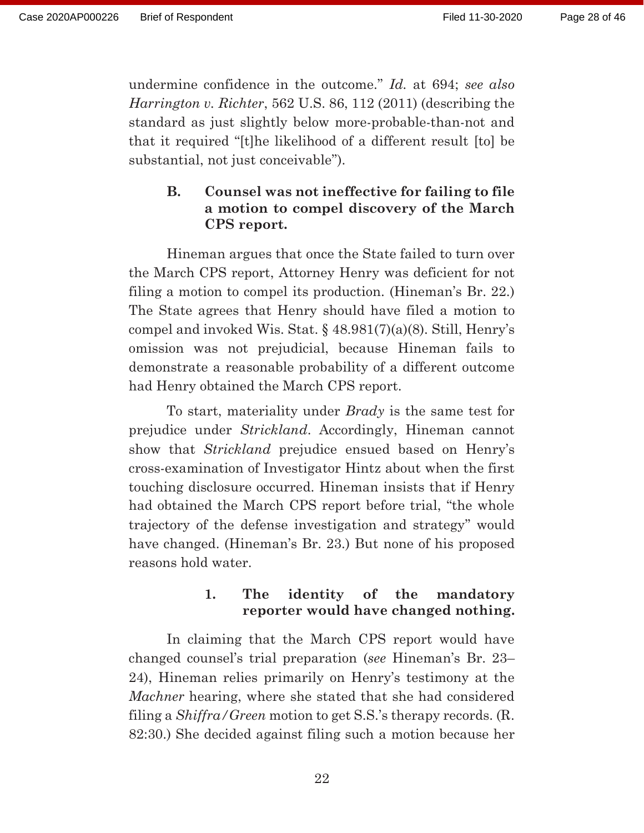undermine confidence in the outcome." *Id.* at 694; *see also Harrington v. Richter*, 562 U.S. 86, 112 (2011) (describing the standard as just slightly below more-probable-than-not and that it required "[t]he likelihood of a different result [to] be substantial, not just conceivable").

# **B. Counsel was not ineffective for failing to file a motion to compel discovery of the March CPS report.**

 Hineman argues that once the State failed to turn over the March CPS report, Attorney Henry was deficient for not filing a motion to compel its production. (Hineman's Br. 22.) The State agrees that Henry should have filed a motion to compel and invoked Wis. Stat. § 48.981(7)(a)(8). Still, Henry's omission was not prejudicial, because Hineman fails to demonstrate a reasonable probability of a different outcome had Henry obtained the March CPS report.

 To start, materiality under *Brady* is the same test for prejudice under *Strickland*. Accordingly, Hineman cannot show that *Strickland* prejudice ensued based on Henry's cross-examination of Investigator Hintz about when the first touching disclosure occurred. Hineman insists that if Henry had obtained the March CPS report before trial, "the whole trajectory of the defense investigation and strategy" would have changed. (Hineman's Br. 23.) But none of his proposed reasons hold water.

# **1. The identity of the mandatory reporter would have changed nothing.**

 In claiming that the March CPS report would have changed counsel's trial preparation (*see* Hineman's Br. 23– 24), Hineman relies primarily on Henry's testimony at the *Machner* hearing, where she stated that she had considered filing a *Shiffra/Green* motion to get S.S.'s therapy records. (R. 82:30.) She decided against filing such a motion because her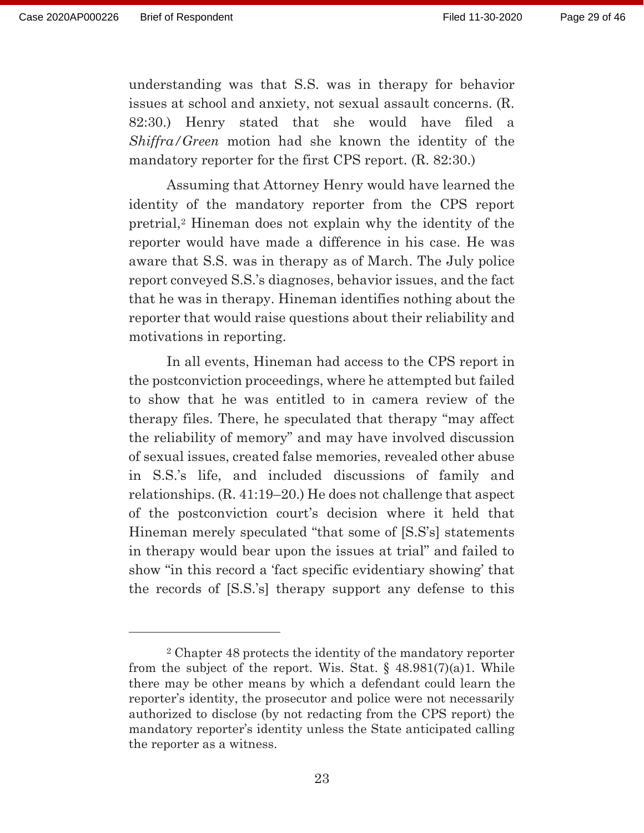understanding was that S.S. was in therapy for behavior issues at school and anxiety, not sexual assault concerns. (R. 82:30.) Henry stated that she would have filed a *Shiffra/Green* motion had she known the identity of the mandatory reporter for the first CPS report. (R. 82:30.)

 Assuming that Attorney Henry would have learned the identity of the mandatory reporter from the CPS report pretrial,2 Hineman does not explain why the identity of the reporter would have made a difference in his case. He was aware that S.S. was in therapy as of March. The July police report conveyed S.S.'s diagnoses, behavior issues, and the fact that he was in therapy. Hineman identifies nothing about the reporter that would raise questions about their reliability and motivations in reporting.

 In all events, Hineman had access to the CPS report in the postconviction proceedings, where he attempted but failed to show that he was entitled to in camera review of the therapy files. There, he speculated that therapy "may affect the reliability of memory" and may have involved discussion of sexual issues, created false memories, revealed other abuse in S.S.'s life, and included discussions of family and relationships. (R. 41:19–20.) He does not challenge that aspect of the postconviction court's decision where it held that Hineman merely speculated "that some of [S.S's] statements in therapy would bear upon the issues at trial" and failed to show "in this record a 'fact specific evidentiary showing' that the records of [S.S.'s] therapy support any defense to this

<sup>2</sup> Chapter 48 protects the identity of the mandatory reporter from the subject of the report. Wis. Stat.  $\frac{648.981(7)(a)}{1}$ . While there may be other means by which a defendant could learn the reporter's identity, the prosecutor and police were not necessarily authorized to disclose (by not redacting from the CPS report) the mandatory reporter's identity unless the State anticipated calling the reporter as a witness.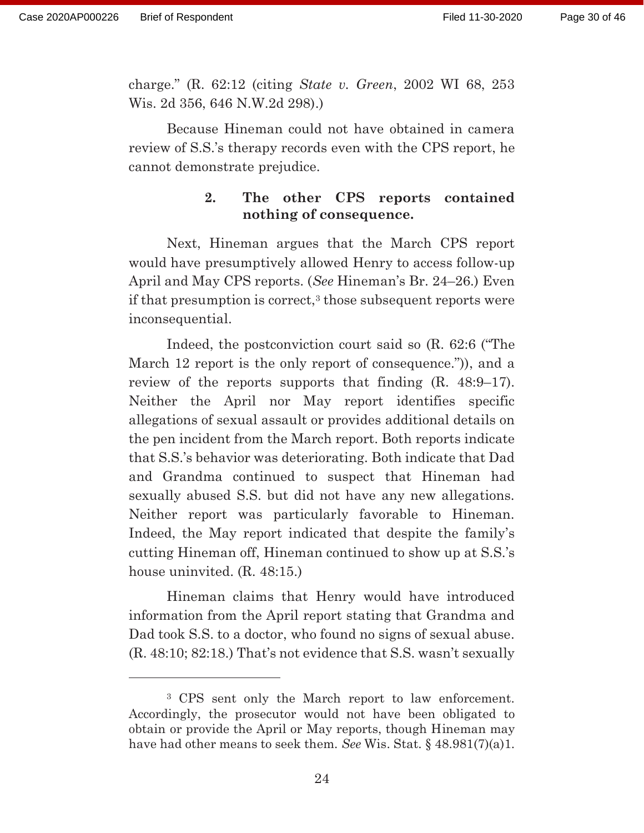charge." (R. 62:12 (citing *State v. Green*, 2002 WI 68, 253 Wis. 2d 356, 646 N.W.2d 298).)

 Because Hineman could not have obtained in camera review of S.S.'s therapy records even with the CPS report, he cannot demonstrate prejudice.

## **2. The other CPS reports contained nothing of consequence.**

 Next, Hineman argues that the March CPS report would have presumptively allowed Henry to access follow-up April and May CPS reports. (*See* Hineman's Br. 24–26.) Even if that presumption is correct,<sup>3</sup> those subsequent reports were inconsequential.

 Indeed, the postconviction court said so (R. 62:6 ("The March 12 report is the only report of consequence.")), and a review of the reports supports that finding  $(R, 48:9-17)$ . Neither the April nor May report identifies specific allegations of sexual assault or provides additional details on the pen incident from the March report. Both reports indicate that S.S.'s behavior was deteriorating. Both indicate that Dad and Grandma continued to suspect that Hineman had sexually abused S.S. but did not have any new allegations. Neither report was particularly favorable to Hineman. Indeed, the May report indicated that despite the family's cutting Hineman off, Hineman continued to show up at S.S.'s house uninvited. (R. 48:15.)

 Hineman claims that Henry would have introduced information from the April report stating that Grandma and Dad took S.S. to a doctor, who found no signs of sexual abuse. (R. 48:10; 82:18.) That's not evidence that S.S. wasn't sexually

<sup>3</sup> CPS sent only the March report to law enforcement. Accordingly, the prosecutor would not have been obligated to obtain or provide the April or May reports, though Hineman may have had other means to seek them. *See* Wis. Stat. § 48.981(7)(a)1.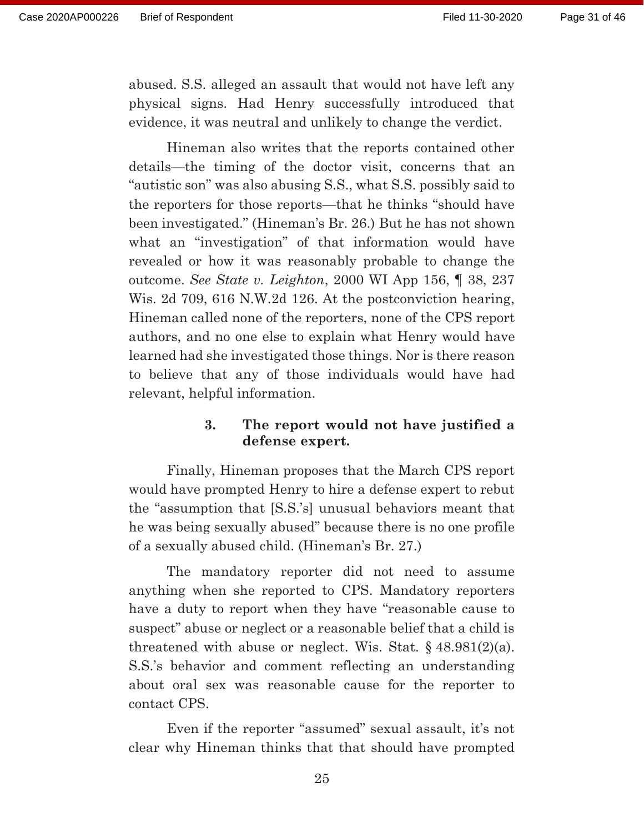abused. S.S. alleged an assault that would not have left any physical signs. Had Henry successfully introduced that evidence, it was neutral and unlikely to change the verdict.

 Hineman also writes that the reports contained other details—the timing of the doctor visit, concerns that an "autistic son" was also abusing S.S., what S.S. possibly said to the reporters for those reports—that he thinks "should have been investigated." (Hineman's Br. 26.) But he has not shown what an "investigation" of that information would have revealed or how it was reasonably probable to change the outcome. *See State v. Leighton*, 2000 WI App 156, ¶ 38, 237 Wis. 2d 709, 616 N.W.2d 126. At the postconviction hearing, Hineman called none of the reporters, none of the CPS report authors, and no one else to explain what Henry would have learned had she investigated those things. Nor is there reason to believe that any of those individuals would have had relevant, helpful information.

### **3. The report would not have justified a defense expert.**

 Finally, Hineman proposes that the March CPS report would have prompted Henry to hire a defense expert to rebut the "assumption that [S.S.'s] unusual behaviors meant that he was being sexually abused" because there is no one profile of a sexually abused child. (Hineman's Br. 27.)

 The mandatory reporter did not need to assume anything when she reported to CPS. Mandatory reporters have a duty to report when they have "reasonable cause to suspect" abuse or neglect or a reasonable belief that a child is threatened with abuse or neglect. Wis. Stat.  $\S$  48.981(2)(a). S.S.'s behavior and comment reflecting an understanding about oral sex was reasonable cause for the reporter to contact CPS.

 Even if the reporter "assumed" sexual assault, it's not clear why Hineman thinks that that should have prompted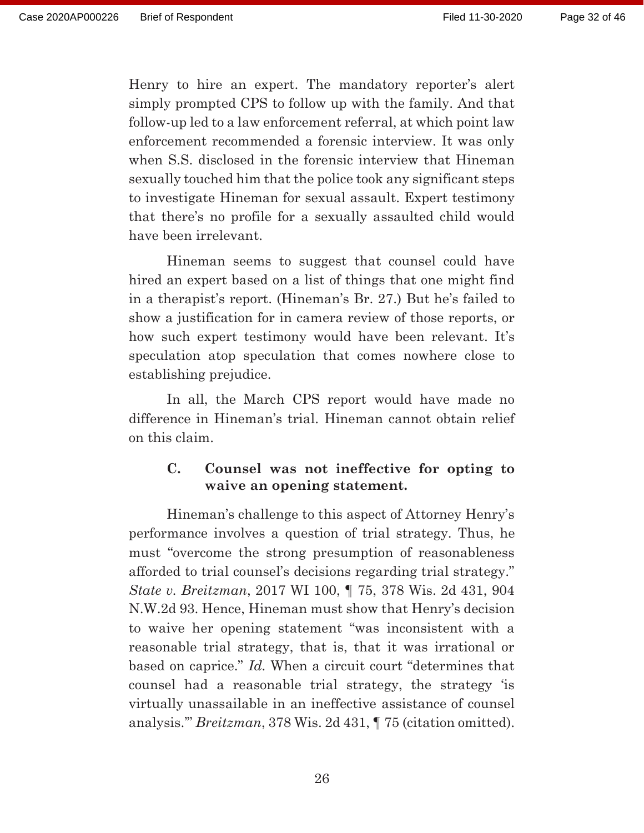Henry to hire an expert. The mandatory reporter's alert simply prompted CPS to follow up with the family. And that follow-up led to a law enforcement referral, at which point law enforcement recommended a forensic interview. It was only when S.S. disclosed in the forensic interview that Hineman sexually touched him that the police took any significant steps to investigate Hineman for sexual assault. Expert testimony that there's no profile for a sexually assaulted child would have been irrelevant.

 Hineman seems to suggest that counsel could have hired an expert based on a list of things that one might find in a therapist's report. (Hineman's Br. 27.) But he's failed to show a justification for in camera review of those reports, or how such expert testimony would have been relevant. It's speculation atop speculation that comes nowhere close to establishing prejudice.

 In all, the March CPS report would have made no difference in Hineman's trial. Hineman cannot obtain relief on this claim.

### **C. Counsel was not ineffective for opting to waive an opening statement.**

 Hineman's challenge to this aspect of Attorney Henry's performance involves a question of trial strategy. Thus, he must "overcome the strong presumption of reasonableness afforded to trial counsel's decisions regarding trial strategy." *State v. Breitzman*, 2017 WI 100, ¶ 75, 378 Wis. 2d 431, 904 N.W.2d 93. Hence, Hineman must show that Henry's decision to waive her opening statement "was inconsistent with a reasonable trial strategy, that is, that it was irrational or based on caprice." *Id.* When a circuit court "determines that counsel had a reasonable trial strategy, the strategy 'is virtually unassailable in an ineffective assistance of counsel analysis.'" *Breitzman*, 378 Wis. 2d 431, ¶ 75 (citation omitted).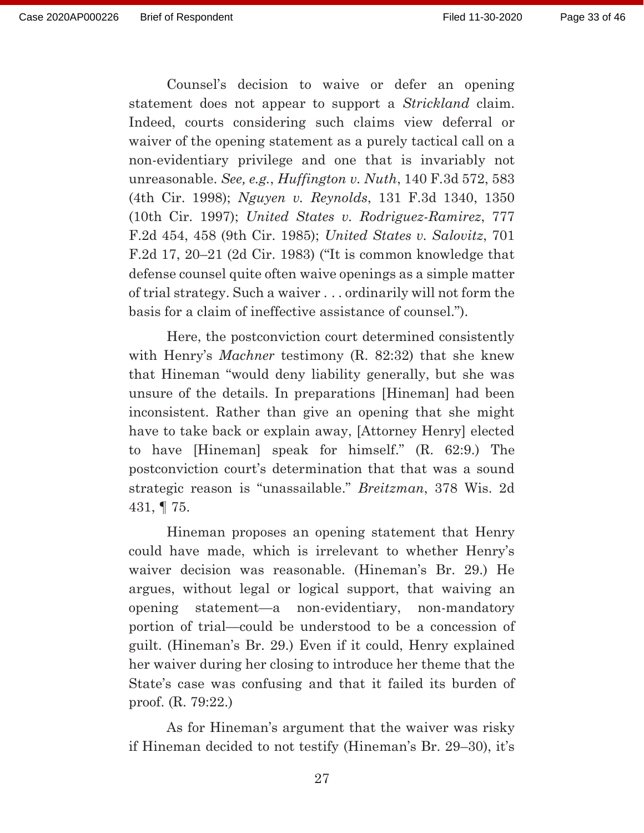Counsel's decision to waive or defer an opening statement does not appear to support a *Strickland* claim. Indeed, courts considering such claims view deferral or waiver of the opening statement as a purely tactical call on a non-evidentiary privilege and one that is invariably not unreasonable. *See, e.g.*, *Huffington v. Nuth*, 140 F.3d 572, 583 (4th Cir. 1998); *Nguyen v. Reynolds*, 131 F.3d 1340, 1350 (10th Cir. 1997); *United States v. Rodriguez-Ramirez*, 777 F.2d 454, 458 (9th Cir. 1985); *United States v. Salovitz*, 701 F.2d 17, 20–21 (2d Cir. 1983) ("It is common knowledge that defense counsel quite often waive openings as a simple matter of trial strategy. Such a waiver . . . ordinarily will not form the basis for a claim of ineffective assistance of counsel.").

 Here, the postconviction court determined consistently with Henry's *Machner* testimony (R. 82:32) that she knew that Hineman "would deny liability generally, but she was unsure of the details. In preparations [Hineman] had been inconsistent. Rather than give an opening that she might have to take back or explain away, [Attorney Henry] elected to have [Hineman] speak for himself." (R. 62:9.) The postconviction court's determination that that was a sound strategic reason is "unassailable." *Breitzman*, 378 Wis. 2d 431, ¶ 75.

 Hineman proposes an opening statement that Henry could have made, which is irrelevant to whether Henry's waiver decision was reasonable. (Hineman's Br. 29.) He argues, without legal or logical support, that waiving an opening statement—a non-evidentiary, non-mandatory portion of trial—could be understood to be a concession of guilt. (Hineman's Br. 29.) Even if it could, Henry explained her waiver during her closing to introduce her theme that the State's case was confusing and that it failed its burden of proof. (R. 79:22.)

 As for Hineman's argument that the waiver was risky if Hineman decided to not testify (Hineman's Br. 29–30), it's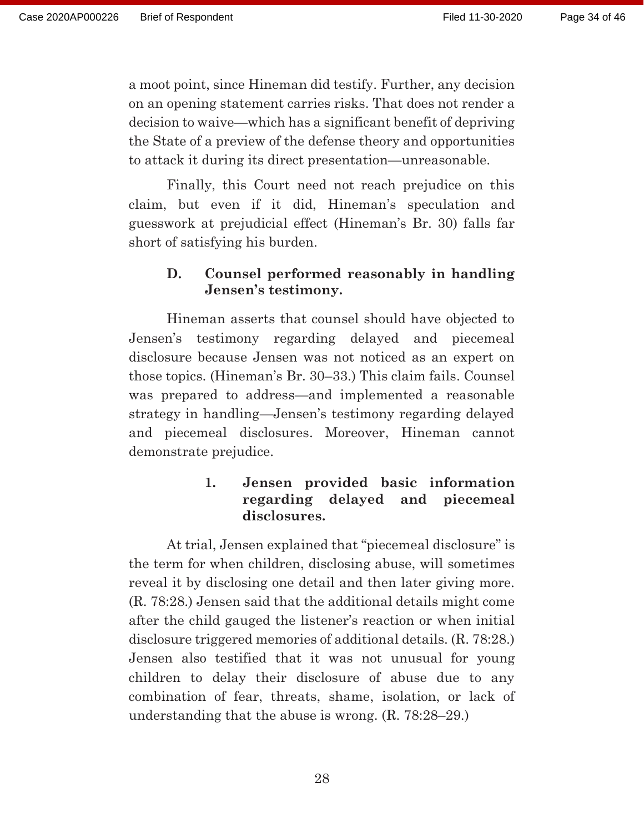a moot point, since Hineman did testify. Further, any decision on an opening statement carries risks. That does not render a decision to waive—which has a significant benefit of depriving the State of a preview of the defense theory and opportunities to attack it during its direct presentation—unreasonable.

 Finally, this Court need not reach prejudice on this claim, but even if it did, Hineman's speculation and guesswork at prejudicial effect (Hineman's Br. 30) falls far short of satisfying his burden.

# **D. Counsel performed reasonably in handling Jensen's testimony.**

 Hineman asserts that counsel should have objected to Jensen's testimony regarding delayed and piecemeal disclosure because Jensen was not noticed as an expert on those topics. (Hineman's Br. 30–33.) This claim fails. Counsel was prepared to address—and implemented a reasonable strategy in handling—Jensen's testimony regarding delayed and piecemeal disclosures. Moreover, Hineman cannot demonstrate prejudice.

# **1. Jensen provided basic information regarding delayed and piecemeal disclosures.**

 At trial, Jensen explained that "piecemeal disclosure" is the term for when children, disclosing abuse, will sometimes reveal it by disclosing one detail and then later giving more. (R. 78:28.) Jensen said that the additional details might come after the child gauged the listener's reaction or when initial disclosure triggered memories of additional details. (R. 78:28.) Jensen also testified that it was not unusual for young children to delay their disclosure of abuse due to any combination of fear, threats, shame, isolation, or lack of understanding that the abuse is wrong. (R. 78:28–29.)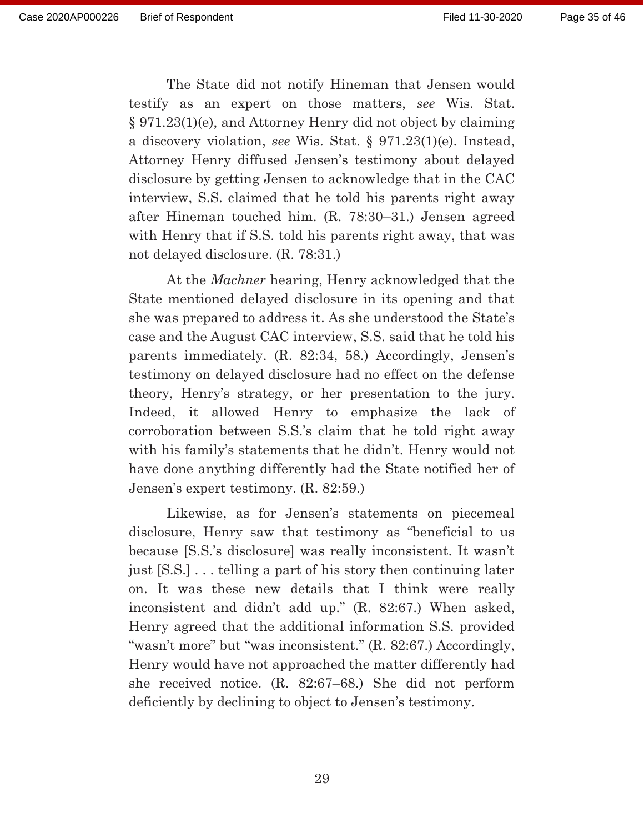The State did not notify Hineman that Jensen would testify as an expert on those matters, *see* Wis. Stat. § 971.23(1)(e), and Attorney Henry did not object by claiming a discovery violation, *see* Wis. Stat. § 971.23(1)(e). Instead, Attorney Henry diffused Jensen's testimony about delayed disclosure by getting Jensen to acknowledge that in the CAC interview, S.S. claimed that he told his parents right away after Hineman touched him. (R. 78:30–31.) Jensen agreed with Henry that if S.S. told his parents right away, that was not delayed disclosure. (R. 78:31.)

 At the *Machner* hearing, Henry acknowledged that the State mentioned delayed disclosure in its opening and that she was prepared to address it. As she understood the State's case and the August CAC interview, S.S. said that he told his parents immediately. (R. 82:34, 58.) Accordingly, Jensen's testimony on delayed disclosure had no effect on the defense theory, Henry's strategy, or her presentation to the jury. Indeed, it allowed Henry to emphasize the lack of corroboration between S.S.'s claim that he told right away with his family's statements that he didn't. Henry would not have done anything differently had the State notified her of Jensen's expert testimony. (R. 82:59.)

 Likewise, as for Jensen's statements on piecemeal disclosure, Henry saw that testimony as "beneficial to us because [S.S.'s disclosure] was really inconsistent. It wasn't just [S.S.] . . . telling a part of his story then continuing later on. It was these new details that I think were really inconsistent and didn't add up." (R. 82:67.) When asked, Henry agreed that the additional information S.S. provided "wasn't more" but "was inconsistent." (R. 82:67.) Accordingly, Henry would have not approached the matter differently had she received notice. (R. 82:67–68.) She did not perform deficiently by declining to object to Jensen's testimony.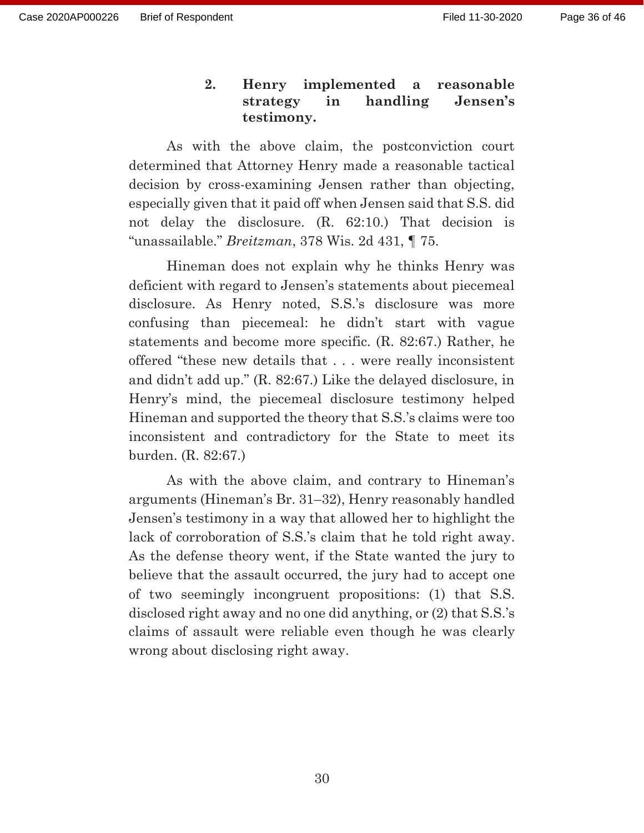# **2. Henry implemented a reasonable strategy in handling Jensen's testimony.**

 As with the above claim, the postconviction court determined that Attorney Henry made a reasonable tactical decision by cross-examining Jensen rather than objecting, especially given that it paid off when Jensen said that S.S. did not delay the disclosure. (R. 62:10.) That decision is "unassailable." *Breitzman*, 378 Wis. 2d 431, ¶ 75.

 Hineman does not explain why he thinks Henry was deficient with regard to Jensen's statements about piecemeal disclosure. As Henry noted, S.S.'s disclosure was more confusing than piecemeal: he didn't start with vague statements and become more specific. (R. 82:67.) Rather, he offered "these new details that . . . were really inconsistent and didn't add up." (R. 82:67.) Like the delayed disclosure, in Henry's mind, the piecemeal disclosure testimony helped Hineman and supported the theory that S.S.'s claims were too inconsistent and contradictory for the State to meet its burden. (R. 82:67.)

 As with the above claim, and contrary to Hineman's arguments (Hineman's Br. 31–32), Henry reasonably handled Jensen's testimony in a way that allowed her to highlight the lack of corroboration of S.S.'s claim that he told right away. As the defense theory went, if the State wanted the jury to believe that the assault occurred, the jury had to accept one of two seemingly incongruent propositions: (1) that S.S. disclosed right away and no one did anything, or (2) that S.S.'s claims of assault were reliable even though he was clearly wrong about disclosing right away.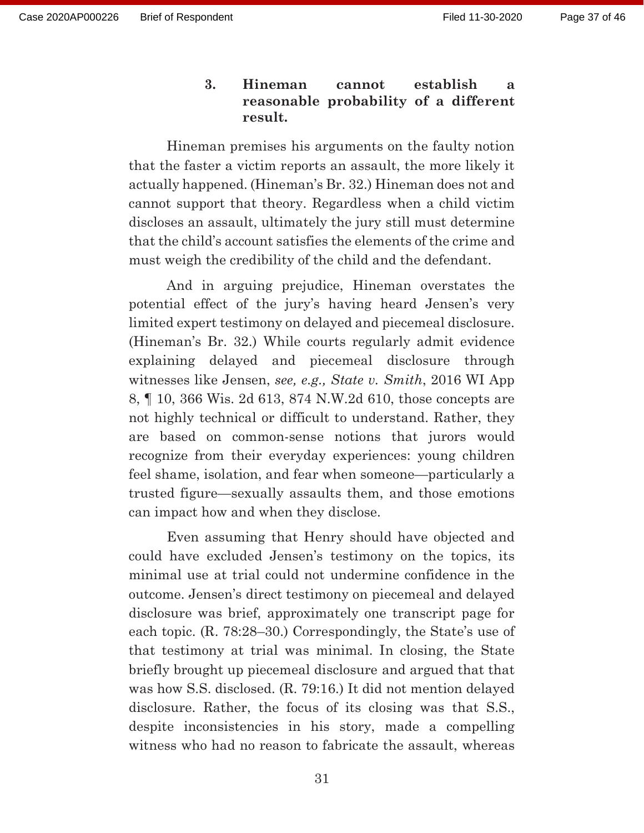# **3. Hineman cannot establish a reasonable probability of a different result.**

 Hineman premises his arguments on the faulty notion that the faster a victim reports an assault, the more likely it actually happened. (Hineman's Br. 32.) Hineman does not and cannot support that theory. Regardless when a child victim discloses an assault, ultimately the jury still must determine that the child's account satisfies the elements of the crime and must weigh the credibility of the child and the defendant.

 And in arguing prejudice, Hineman overstates the potential effect of the jury's having heard Jensen's very limited expert testimony on delayed and piecemeal disclosure. (Hineman's Br. 32.) While courts regularly admit evidence explaining delayed and piecemeal disclosure through witnesses like Jensen, *see, e.g., State v. Smith*, 2016 WI App 8, ¶ 10, 366 Wis. 2d 613, 874 N.W.2d 610, those concepts are not highly technical or difficult to understand. Rather, they are based on common-sense notions that jurors would recognize from their everyday experiences: young children feel shame, isolation, and fear when someone—particularly a trusted figure—sexually assaults them, and those emotions can impact how and when they disclose.

 Even assuming that Henry should have objected and could have excluded Jensen's testimony on the topics, its minimal use at trial could not undermine confidence in the outcome. Jensen's direct testimony on piecemeal and delayed disclosure was brief, approximately one transcript page for each topic. (R. 78:28–30.) Correspondingly, the State's use of that testimony at trial was minimal. In closing, the State briefly brought up piecemeal disclosure and argued that that was how S.S. disclosed. (R. 79:16.) It did not mention delayed disclosure. Rather, the focus of its closing was that S.S., despite inconsistencies in his story, made a compelling witness who had no reason to fabricate the assault, whereas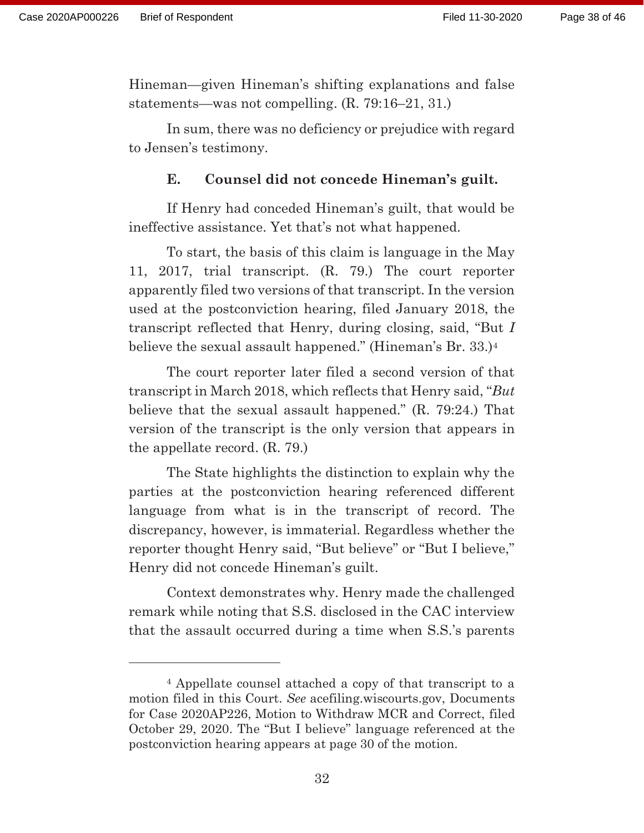Hineman—given Hineman's shifting explanations and false statements—was not compelling. (R. 79:16–21, 31.)

 In sum, there was no deficiency or prejudice with regard to Jensen's testimony.

#### **E. Counsel did not concede Hineman's guilt.**

 If Henry had conceded Hineman's guilt, that would be ineffective assistance. Yet that's not what happened.

 To start, the basis of this claim is language in the May 11, 2017, trial transcript. (R. 79.) The court reporter apparently filed two versions of that transcript. In the version used at the postconviction hearing, filed January 2018, the transcript reflected that Henry, during closing, said, "But *I*  believe the sexual assault happened." (Hineman's Br. 33.)4

 The court reporter later filed a second version of that transcript in March 2018, which reflects that Henry said, "*But* believe that the sexual assault happened." (R. 79:24.) That version of the transcript is the only version that appears in the appellate record. (R. 79.)

 The State highlights the distinction to explain why the parties at the postconviction hearing referenced different language from what is in the transcript of record. The discrepancy, however, is immaterial. Regardless whether the reporter thought Henry said, "But believe" or "But I believe," Henry did not concede Hineman's guilt.

 Context demonstrates why. Henry made the challenged remark while noting that S.S. disclosed in the CAC interview that the assault occurred during a time when S.S.'s parents

<sup>4</sup> Appellate counsel attached a copy of that transcript to a motion filed in this Court. *See* acefiling.wiscourts.gov, Documents for Case 2020AP226, Motion to Withdraw MCR and Correct, filed October 29, 2020. The "But I believe" language referenced at the postconviction hearing appears at page 30 of the motion.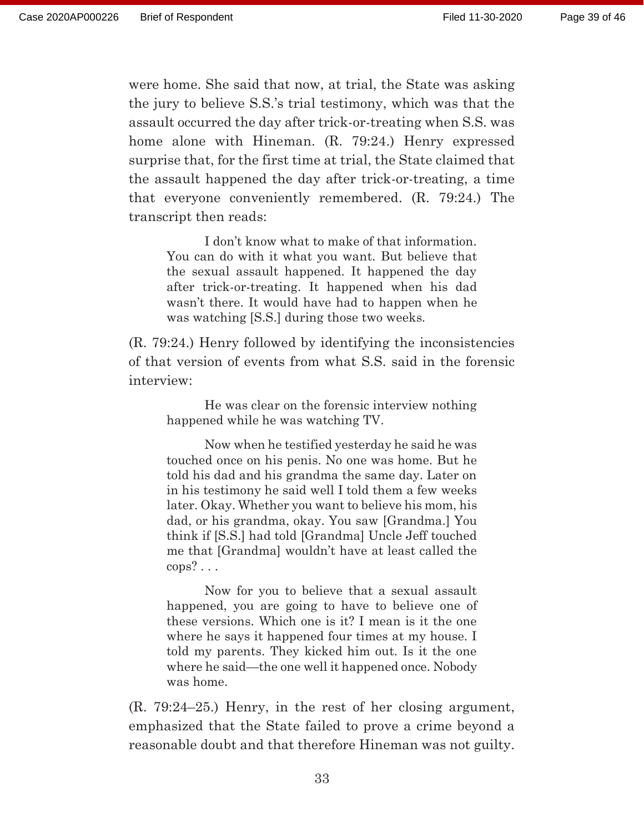were home. She said that now, at trial, the State was asking the jury to believe S.S.'s trial testimony, which was that the assault occurred the day after trick-or-treating when S.S. was home alone with Hineman. (R. 79:24.) Henry expressed surprise that, for the first time at trial, the State claimed that the assault happened the day after trick-or-treating, a time that everyone conveniently remembered. (R. 79:24.) The transcript then reads:

 I don't know what to make of that information. You can do with it what you want. But believe that the sexual assault happened. It happened the day after trick-or-treating. It happened when his dad wasn't there. It would have had to happen when he was watching [S.S.] during those two weeks.

(R. 79:24.) Henry followed by identifying the inconsistencies of that version of events from what S.S. said in the forensic interview:

 He was clear on the forensic interview nothing happened while he was watching TV.

 Now when he testified yesterday he said he was touched once on his penis. No one was home. But he told his dad and his grandma the same day. Later on in his testimony he said well I told them a few weeks later. Okay. Whether you want to believe his mom, his dad, or his grandma, okay. You saw [Grandma.] You think if [S.S.] had told [Grandma] Uncle Jeff touched me that [Grandma] wouldn't have at least called the cops? . . .

 Now for you to believe that a sexual assault happened, you are going to have to believe one of these versions. Which one is it? I mean is it the one where he says it happened four times at my house. I told my parents. They kicked him out. Is it the one where he said—the one well it happened once. Nobody was home.

(R. 79:24–25.) Henry, in the rest of her closing argument, emphasized that the State failed to prove a crime beyond a reasonable doubt and that therefore Hineman was not guilty.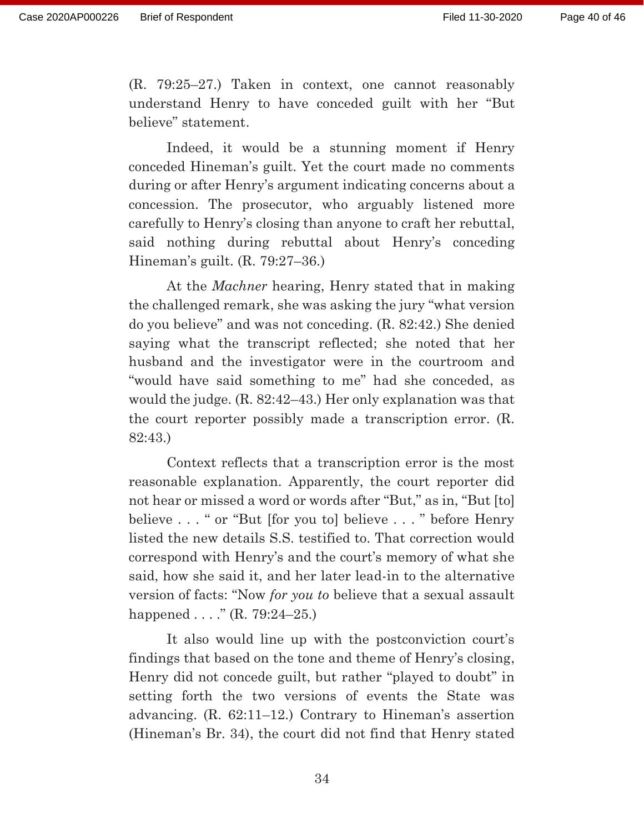(R. 79:25–27.) Taken in context, one cannot reasonably understand Henry to have conceded guilt with her "But believe" statement.

 Indeed, it would be a stunning moment if Henry conceded Hineman's guilt. Yet the court made no comments during or after Henry's argument indicating concerns about a concession. The prosecutor, who arguably listened more carefully to Henry's closing than anyone to craft her rebuttal, said nothing during rebuttal about Henry's conceding Hineman's guilt. (R. 79:27–36.)

 At the *Machner* hearing, Henry stated that in making the challenged remark, she was asking the jury "what version do you believe" and was not conceding. (R. 82:42.) She denied saying what the transcript reflected; she noted that her husband and the investigator were in the courtroom and "would have said something to me" had she conceded, as would the judge. (R. 82:42–43.) Her only explanation was that the court reporter possibly made a transcription error. (R. 82:43.)

 Context reflects that a transcription error is the most reasonable explanation. Apparently, the court reporter did not hear or missed a word or words after "But," as in, "But [to] believe . . . " or "But [for you to] believe . . . " before Henry listed the new details S.S. testified to. That correction would correspond with Henry's and the court's memory of what she said, how she said it, and her later lead-in to the alternative version of facts: "Now *for you to* believe that a sexual assault happened  $\ldots$  ." (R. 79:24–25.)

 It also would line up with the postconviction court's findings that based on the tone and theme of Henry's closing, Henry did not concede guilt, but rather "played to doubt" in setting forth the two versions of events the State was advancing. (R. 62:11–12.) Contrary to Hineman's assertion (Hineman's Br. 34), the court did not find that Henry stated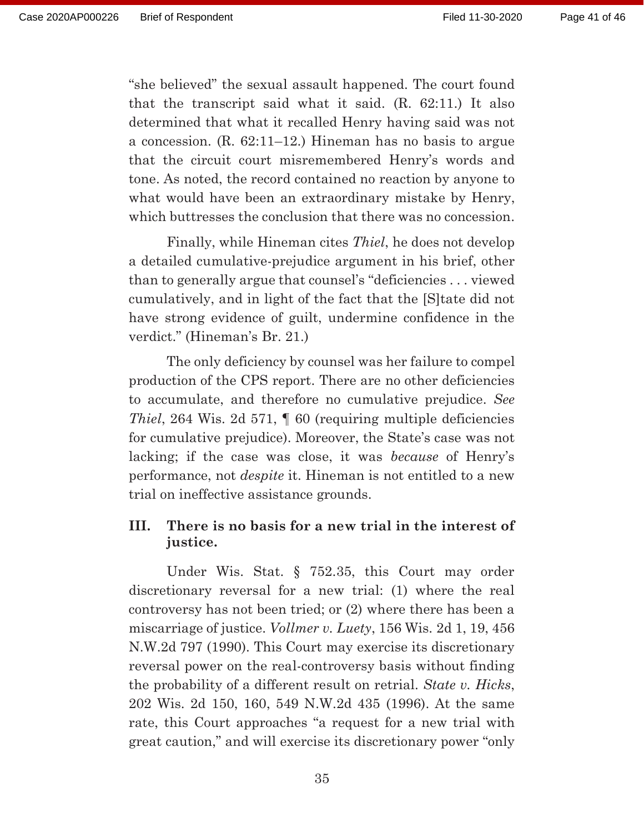"she believed" the sexual assault happened. The court found that the transcript said what it said. (R. 62:11.) It also determined that what it recalled Henry having said was not a concession. (R. 62:11–12.) Hineman has no basis to argue that the circuit court misremembered Henry's words and tone. As noted, the record contained no reaction by anyone to what would have been an extraordinary mistake by Henry, which buttresses the conclusion that there was no concession.

 Finally, while Hineman cites *Thiel*, he does not develop a detailed cumulative-prejudice argument in his brief, other than to generally argue that counsel's "deficiencies . . . viewed cumulatively, and in light of the fact that the [S]tate did not have strong evidence of guilt, undermine confidence in the verdict." (Hineman's Br. 21.)

 The only deficiency by counsel was her failure to compel production of the CPS report. There are no other deficiencies to accumulate, and therefore no cumulative prejudice. *See Thiel*, 264 Wis. 2d 571,  $\parallel$  60 (requiring multiple deficiencies for cumulative prejudice). Moreover, the State's case was not lacking; if the case was close, it was *because* of Henry's performance, not *despite* it. Hineman is not entitled to a new trial on ineffective assistance grounds.

### **III. There is no basis for a new trial in the interest of justice.**

 Under Wis. Stat. § 752.35, this Court may order discretionary reversal for a new trial: (1) where the real controversy has not been tried; or (2) where there has been a miscarriage of justice. *Vollmer v. Luety*, 156 Wis. 2d 1, 19, 456 N.W.2d 797 (1990). This Court may exercise its discretionary reversal power on the real-controversy basis without finding the probability of a different result on retrial. *State v. Hicks*, 202 Wis. 2d 150, 160, 549 N.W.2d 435 (1996). At the same rate, this Court approaches "a request for a new trial with great caution," and will exercise its discretionary power "only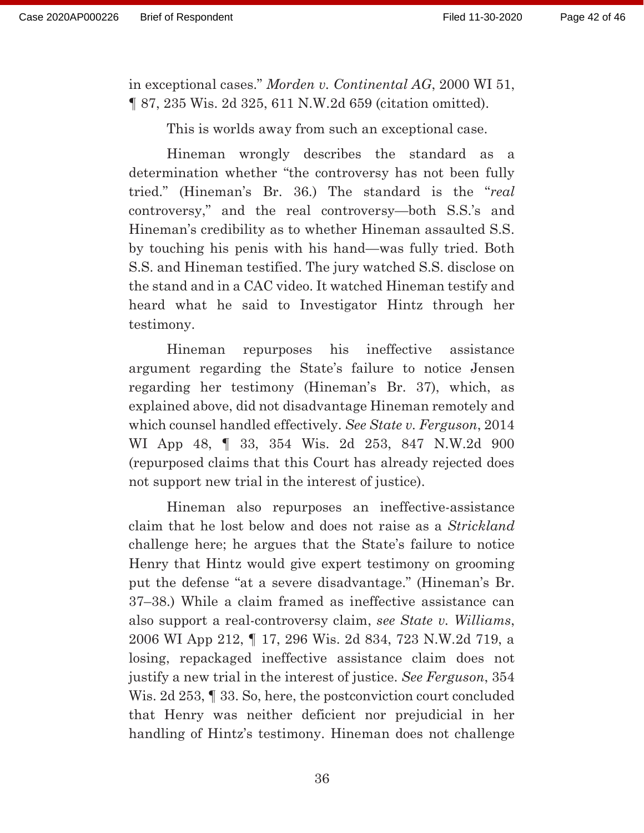in exceptional cases." *Morden v. Continental AG*, 2000 WI 51, ¶ 87, 235 Wis. 2d 325, 611 N.W.2d 659 (citation omitted).

This is worlds away from such an exceptional case.

 Hineman wrongly describes the standard as a determination whether "the controversy has not been fully tried." (Hineman's Br. 36.) The standard is the "*real* controversy," and the real controversy—both S.S.'s and Hineman's credibility as to whether Hineman assaulted S.S. by touching his penis with his hand—was fully tried. Both S.S. and Hineman testified. The jury watched S.S. disclose on the stand and in a CAC video. It watched Hineman testify and heard what he said to Investigator Hintz through her testimony.

 Hineman repurposes his ineffective assistance argument regarding the State's failure to notice Jensen regarding her testimony (Hineman's Br. 37), which, as explained above, did not disadvantage Hineman remotely and which counsel handled effectively. *See State v. Ferguson*, 2014 WI App 48, ¶ 33, 354 Wis. 2d 253, 847 N.W.2d 900 (repurposed claims that this Court has already rejected does not support new trial in the interest of justice).

 Hineman also repurposes an ineffective-assistance claim that he lost below and does not raise as a *Strickland* challenge here; he argues that the State's failure to notice Henry that Hintz would give expert testimony on grooming put the defense "at a severe disadvantage." (Hineman's Br. 37–38.) While a claim framed as ineffective assistance can also support a real-controversy claim, *see State v. Williams*, 2006 WI App 212, ¶ 17, 296 Wis. 2d 834, 723 N.W.2d 719, a losing, repackaged ineffective assistance claim does not justify a new trial in the interest of justice. *See Ferguson*, 354 Wis. 2d 253, ¶ 33. So, here, the postconviction court concluded that Henry was neither deficient nor prejudicial in her handling of Hintz's testimony. Hineman does not challenge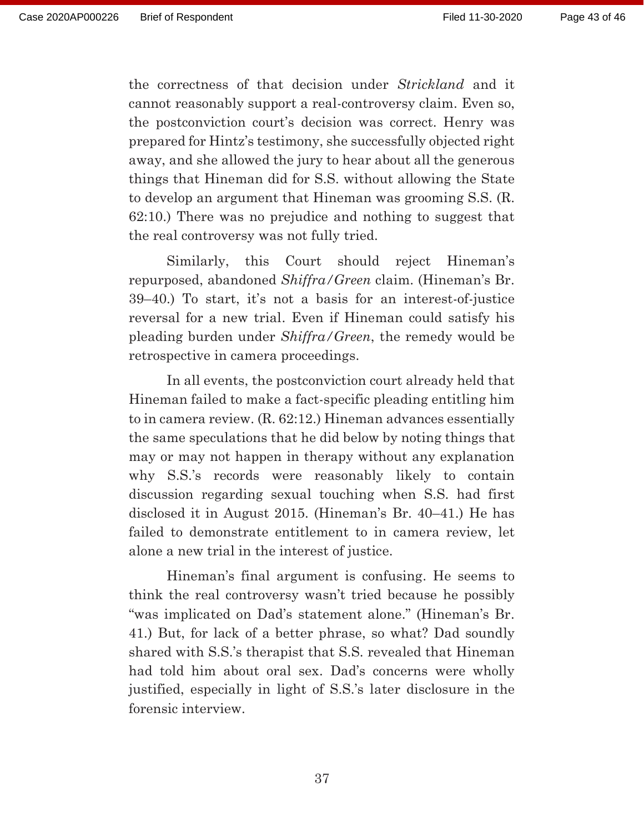the correctness of that decision under *Strickland* and it cannot reasonably support a real-controversy claim. Even so, the postconviction court's decision was correct. Henry was prepared for Hintz's testimony, she successfully objected right away, and she allowed the jury to hear about all the generous things that Hineman did for S.S. without allowing the State to develop an argument that Hineman was grooming S.S. (R. 62:10.) There was no prejudice and nothing to suggest that the real controversy was not fully tried.

 Similarly, this Court should reject Hineman's repurposed, abandoned *Shiffra/Green* claim. (Hineman's Br. 39–40.) To start, it's not a basis for an interest-of-justice reversal for a new trial. Even if Hineman could satisfy his pleading burden under *Shiffra/Green*, the remedy would be retrospective in camera proceedings.

 In all events, the postconviction court already held that Hineman failed to make a fact-specific pleading entitling him to in camera review. (R. 62:12.) Hineman advances essentially the same speculations that he did below by noting things that may or may not happen in therapy without any explanation why S.S.'s records were reasonably likely to contain discussion regarding sexual touching when S.S. had first disclosed it in August 2015. (Hineman's Br. 40–41.) He has failed to demonstrate entitlement to in camera review, let alone a new trial in the interest of justice.

 Hineman's final argument is confusing. He seems to think the real controversy wasn't tried because he possibly "was implicated on Dad's statement alone." (Hineman's Br. 41.) But, for lack of a better phrase, so what? Dad soundly shared with S.S.'s therapist that S.S. revealed that Hineman had told him about oral sex. Dad's concerns were wholly justified, especially in light of S.S.'s later disclosure in the forensic interview.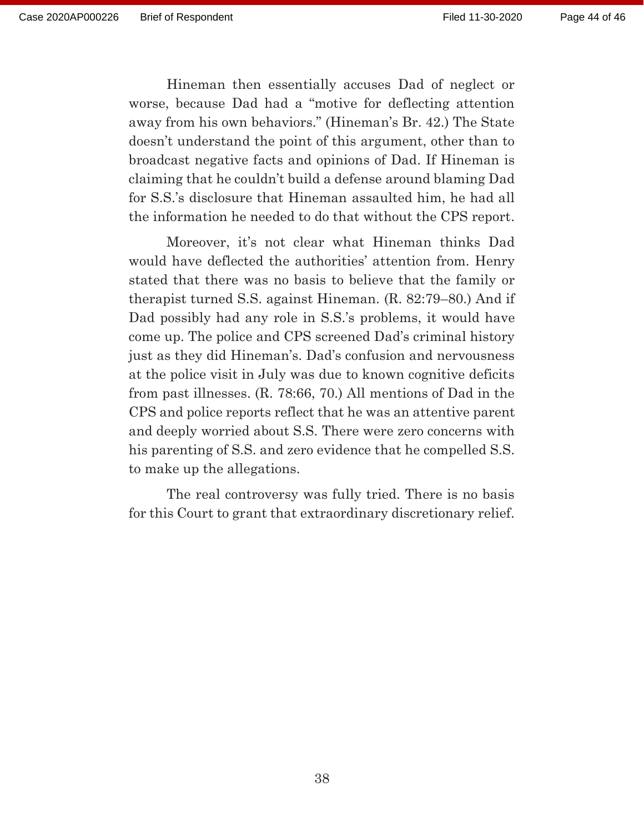Hineman then essentially accuses Dad of neglect or worse, because Dad had a "motive for deflecting attention away from his own behaviors." (Hineman's Br. 42.) The State doesn't understand the point of this argument, other than to broadcast negative facts and opinions of Dad. If Hineman is claiming that he couldn't build a defense around blaming Dad for S.S.'s disclosure that Hineman assaulted him, he had all the information he needed to do that without the CPS report.

 Moreover, it's not clear what Hineman thinks Dad would have deflected the authorities' attention from. Henry stated that there was no basis to believe that the family or therapist turned S.S. against Hineman. (R. 82:79–80.) And if Dad possibly had any role in S.S.'s problems, it would have come up. The police and CPS screened Dad's criminal history just as they did Hineman's. Dad's confusion and nervousness at the police visit in July was due to known cognitive deficits from past illnesses. (R. 78:66, 70.) All mentions of Dad in the CPS and police reports reflect that he was an attentive parent and deeply worried about S.S. There were zero concerns with his parenting of S.S. and zero evidence that he compelled S.S. to make up the allegations.

 The real controversy was fully tried. There is no basis for this Court to grant that extraordinary discretionary relief.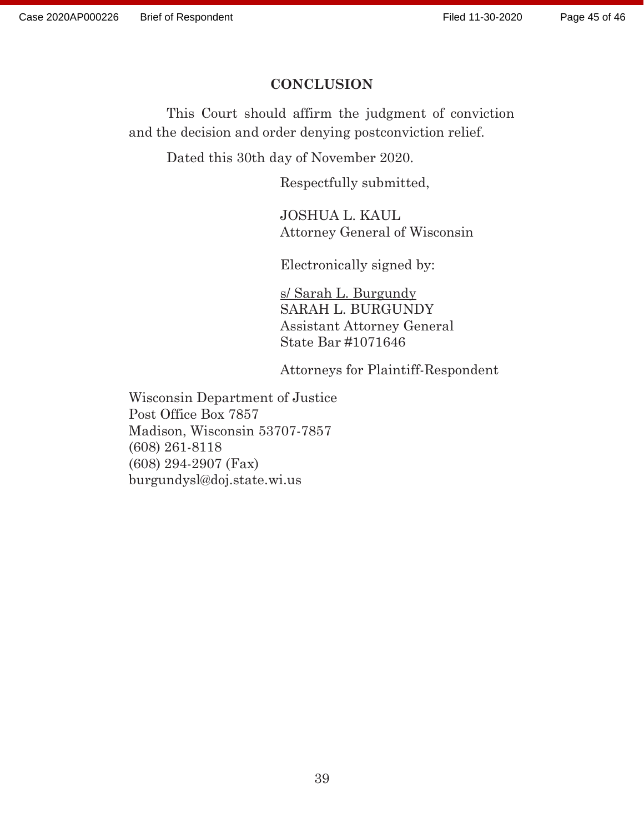### **CONCLUSION**

 This Court should affirm the judgment of conviction and the decision and order denying postconviction relief.

Dated this 30th day of November 2020.

Respectfully submitted,

 JOSHUA L. KAUL Attorney General of Wisconsin

Electronically signed by:

 s/ Sarah L. Burgundy SARAH L. BURGUNDY Assistant Attorney General State Bar #1071646

Attorneys for Plaintiff-Respondent

Wisconsin Department of Justice Post Office Box 7857 Madison, Wisconsin 53707-7857 (608) 261-8118 (608) 294-2907 (Fax) burgundysl@doj.state.wi.us